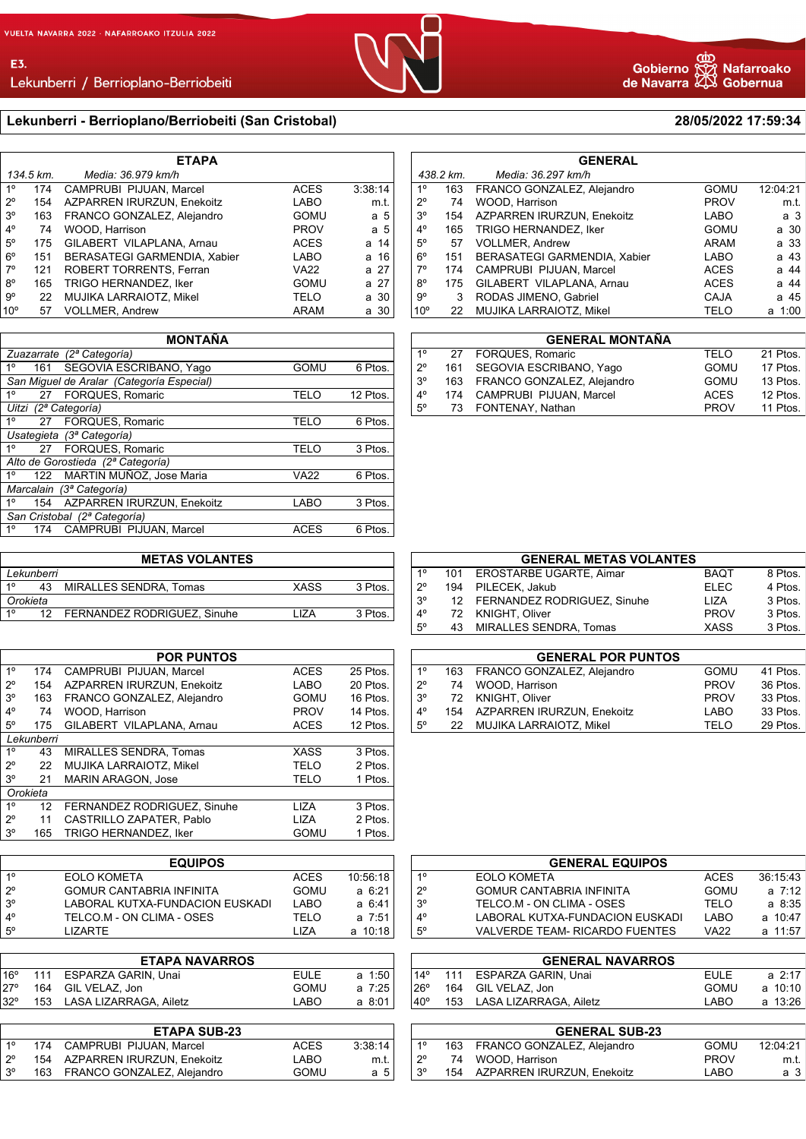Lekunberri / Berrioplano-Berriobeiti

## **Lekunberri - Berrioplano/Berriobeiti (San Cristobal) 28/05/2022 17:59:34**

| <b>ETAPA</b>    |                                 |                              |             |         |  |  |
|-----------------|---------------------------------|------------------------------|-------------|---------|--|--|
|                 | 134.5 km.<br>Media: 36.979 km/h |                              |             |         |  |  |
| 1 <sup>°</sup>  | 174                             | CAMPRUBI PIJUAN, Marcel      | <b>ACES</b> | 3:38:14 |  |  |
| $2^{\circ}$     | 154                             | AZPARREN IRURZUN, Enekoitz   | LABO        | m.t.    |  |  |
| $3^{\circ}$     | 163                             | FRANCO GONZALEZ, Alejandro   | <b>GOMU</b> | a 5     |  |  |
| $4^\circ$       | 74                              | WOOD, Harrison               | <b>PROV</b> | a 5     |  |  |
| $5^{\circ}$     | 175                             | GILABERT VILAPLANA, Arnau    | <b>ACES</b> | a 14    |  |  |
| $6^{\circ}$     | 151                             | BERASATEGI GARMENDIA, Xabier | LABO        | a 16    |  |  |
| $7^\circ$       | 121                             | ROBERT TORRENTS, Ferran      | <b>VA22</b> | a 27    |  |  |
| $8^{\circ}$     | 165                             | TRIGO HERNANDEZ, Iker        | <b>GOMU</b> | a 27    |  |  |
| $9^{\circ}$     | 22                              | MUJIKA LARRAIOTZ, Mikel      | TELO        | a 30    |  |  |
| 10 <sup>o</sup> | 57                              | <b>VOLLMER, Andrew</b>       | ARAM        | a 30    |  |  |

| <b>MONTAÑA</b>                            |             |          |  |  |  |
|-------------------------------------------|-------------|----------|--|--|--|
| Zuazarrate (2ª Categoría)                 |             |          |  |  |  |
| SEGOVIA ESCRIBANO, Yaqo<br>10<br>161      | <b>GOMU</b> | 6 Ptos.  |  |  |  |
| San Miquel de Aralar (Categoría Especial) |             |          |  |  |  |
| 10<br>FORQUES, Romaric<br>27              | <b>TELO</b> | 12 Ptos. |  |  |  |
| Uitzi (2ª Categoría)                      |             |          |  |  |  |
| $1^{\circ}$<br>FORQUES, Romaric<br>27     | <b>TELO</b> | 6 Ptos.  |  |  |  |
| Usategieta (3ª Categoría)                 |             |          |  |  |  |
| FORQUES, Romaric<br>1°<br>27              | <b>TELO</b> | 3 Ptos.  |  |  |  |
| Alto de Gorostieda (2ª Categoría)         |             |          |  |  |  |
| MARTIN MUÑOZ, Jose Maria<br>122<br>1°     | <b>VA22</b> | 6 Ptos.  |  |  |  |
| Marcalain (3ª Categoría)                  |             |          |  |  |  |
| 1°<br>AZPARREN IRURZUN, Enekoitz<br>154   | LABO        | 3 Ptos.  |  |  |  |
| San Cristobal (2ª Categoría)              |             |          |  |  |  |
| 1°<br>CAMPRUBI PIJUAN. Marcel<br>174      | <b>ACES</b> | 6 Ptos.  |  |  |  |

|            |    | <b>METAS VOLANTES</b>       |             |         |  |
|------------|----|-----------------------------|-------------|---------|--|
| Lekunberri |    |                             |             |         |  |
| 10         | 43 | MIRALLES SENDRA, Tomas      | <b>XASS</b> | 3 Ptos. |  |
| Orokieta   |    |                             |             |         |  |
| 10         | 12 | FERNANDEZ RODRIGUEZ, Sinuhe | I 17A       | 3 Ptos. |  |
|            |    |                             |             |         |  |

| <b>POR PUNTOS</b> |                                    |             |          |  |  |  |
|-------------------|------------------------------------|-------------|----------|--|--|--|
| 174               | CAMPRUBI PIJUAN, Marcel            | <b>ACES</b> | 25 Ptos. |  |  |  |
| 154               | AZPARREN IRURZUN, Enekoitz         | LABO        | 20 Ptos. |  |  |  |
| 163               | FRANCO GONZALEZ, Alejandro         | GOMU        | 16 Ptos. |  |  |  |
| 74                | WOOD, Harrison                     | <b>PROV</b> | 14 Ptos. |  |  |  |
| 175               | GILABERT VILAPLANA, Arnau          | <b>ACES</b> | 12 Ptos. |  |  |  |
|                   |                                    |             |          |  |  |  |
| 43                | <b>MIRALLES SENDRA. Tomas</b>      | XASS        | 3 Ptos.  |  |  |  |
| 22                | <b>MUJIKA LARRAIOTZ. Mikel</b>     | <b>TELO</b> | 2 Ptos.  |  |  |  |
| 21                | <b>MARIN ARAGON, Jose</b>          | <b>TELO</b> | 1 Ptos.  |  |  |  |
| Orokieta          |                                    |             |          |  |  |  |
| $12 \overline{ }$ | <b>FERNANDEZ RODRIGUEZ, Sinuhe</b> | LIZA        | 3 Ptos.  |  |  |  |
| 11                | CASTRILLO ZAPATER, Pablo           | LIZA        | 2 Ptos.  |  |  |  |
| 165               | <b>TRIGO HERNANDEZ. Iker</b>       | <b>GOMU</b> | 1 Ptos.  |  |  |  |
|                   |                                    | Lekunberri  |          |  |  |  |

| <b>EQUIPOS</b> |                                 |             |            |  |  |
|----------------|---------------------------------|-------------|------------|--|--|
| 10             | EOLO KOMETA                     | <b>ACES</b> | 10:56:18   |  |  |
| $2^{\circ}$    | <b>GOMUR CANTABRIA INFINITA</b> | <b>GOMU</b> | $a \t6:21$ |  |  |
| $3^\circ$      | LABORAL KUTXA-FUNDACION EUSKADI | LABO        | a 6:41     |  |  |
| $4^{\circ}$    | TELCO.M - ON CLIMA - OSES       | TELO        | a 7:51     |  |  |
| $5^{\circ}$    | I IZARTF                        | I 17A       | a 10:18    |  |  |

| EULE                                                                        | a 1:50 |
|-----------------------------------------------------------------------------|--------|
| GOMU                                                                        | a 7:25 |
| LABO                                                                        | a 8:01 |
| 111 ESPARZA GARIN, Unai<br>164 GIL VELAZ, Jon<br>153 LASA LIZARRAGA, Ailetz |        |

|             | <b>ETAPA SUB-23</b>            |             |         |
|-------------|--------------------------------|-------------|---------|
| 10          | 174 CAMPRUBI PIJUAN, Marcel    | <b>ACES</b> | 3:38:14 |
| $2^{\circ}$ | 154 AZPARREN IRURZUN, Enekoitz | LABO        | m.t.    |
| .3°         | 163 FRANCO GONZALEZ, Alejandro | GOMU        | a 5     |

|                                                          | CD |  |
|----------------------------------------------------------|----|--|
|                                                          |    |  |
| Gobierno کَیکُّ Nafarroal<br>Je Navarra نَامُکا Gobernua |    |  |

o)

|                 |           | <b>GENERAL</b>                      |             |          |
|-----------------|-----------|-------------------------------------|-------------|----------|
|                 | 438.2 km. | Media: 36.297 km/h                  |             |          |
| $1^{\circ}$     | 163       | FRANCO GONZALEZ, Alejandro          | <b>GOMU</b> | 12:04:21 |
| $2^{\circ}$     | 74        | WOOD, Harrison                      | <b>PROV</b> | m.t.     |
| 3 <sup>o</sup>  | 154       | AZPARREN IRURZUN, Enekoitz          | LABO        | а 3      |
| $4^{\circ}$     | 165       | TRIGO HERNANDEZ, Iker               | <b>GOMU</b> | a 30     |
| $5^{\circ}$     | 57        | <b>VOLLMER, Andrew</b>              | ARAM        | a 33     |
| $6^{\circ}$     | 151       | <b>BERASATEGI GARMENDIA, Xabier</b> | LABO        | a 43     |
| $7^\circ$       | 174       | CAMPRUBI PIJUAN, Marcel             | <b>ACES</b> | a 44     |
| $8^{\circ}$     | 175       | GILABERT VILAPLANA, Arnau           | <b>ACES</b> | a 44     |
| 9°              | 3         | RODAS JIMENO, Gabriel               | <b>CAJA</b> | a 45     |
| 10 <sup>o</sup> | 22        | MUJIKA LARRAIOTZ, Mikel             | TELO        | a 1:00   |
|                 |           |                                     |             |          |

|             |    | <b>GENERAL MONTAÑA</b>         |             |          |
|-------------|----|--------------------------------|-------------|----------|
| $1^{\circ}$ |    | 27 FORQUES, Romaric            | TELO        | 21 Ptos. |
| $2^{\circ}$ |    | 161 SEGOVIA ESCRIBANO, Yago    | <b>GOMU</b> | 17 Ptos. |
| $3^{\circ}$ |    | 163 FRANCO GONZALEZ, Alejandro | GOMU        | 13 Ptos. |
| $4^{\circ}$ |    | 174 CAMPRUBI PIJUAN, Marcel    | <b>ACES</b> | 12 Ptos. |
| $5^{\circ}$ | 73 | FONTENAY, Nathan               | <b>PROV</b> | 11 Ptos. |
|             |    |                                |             |          |

| <b>GENERAL METAS VOLANTES</b> |     |                                |             |         |  |  |
|-------------------------------|-----|--------------------------------|-------------|---------|--|--|
| 1 <sup>o</sup>                |     | 101 EROSTARBE UGARTE, Aimar    | <b>BAQT</b> | 8 Ptos. |  |  |
| $2^{\circ}$                   | 194 | PILECEK, Jakub                 | <b>ELEC</b> | 4 Ptos. |  |  |
| $3^{\circ}$                   |     | 12 FERNANDEZ RODRIGUEZ, Sinuhe | 117A        | 3 Ptos. |  |  |
| $4^{\circ}$                   |     | 72 KNIGHT, Oliver              | <b>PROV</b> | 3 Ptos. |  |  |
| $5^{\circ}$                   | 43  | <b>MIRALLES SENDRA, Tomas</b>  | <b>XASS</b> | 3 Ptos. |  |  |
|                               |     |                                |             |         |  |  |

| <b>GENERAL POR PUNTOS</b> |    |                                |             |          |  |  |
|---------------------------|----|--------------------------------|-------------|----------|--|--|
| $1^{\circ}$               |    | 163 FRANCO GONZALEZ, Alejandro | GOMU        | 41 Ptos. |  |  |
| $2^{\circ}$               | 74 | WOOD, Harrison                 | <b>PROV</b> | 36 Ptos. |  |  |
| $3^{\circ}$               |    | 72 KNIGHT, Oliver              | <b>PROV</b> | 33 Ptos. |  |  |
| $4^\circ$                 |    | 154 AZPARREN IRURZUN, Enekoitz | <b>LABO</b> | 33 Ptos. |  |  |
| $5^{\circ}$               | 22 | MUJIKA LARRAIOTZ, Mikel        | TELO        | 29 Ptos. |  |  |

| <b>GENERAL EQUIPOS</b> |                                       |             |          |  |  |  |  |  |  |
|------------------------|---------------------------------------|-------------|----------|--|--|--|--|--|--|
| $1^{\circ}$            | EOLO KOMETA                           | <b>ACES</b> | 36:15:43 |  |  |  |  |  |  |
| $2^{\circ}$            | <b>GOMUR CANTABRIA INFINITA</b>       | <b>GOMU</b> | a 7:12 l |  |  |  |  |  |  |
| $3^{\circ}$            | TELCO.M - ON CLIMA - OSES             | TELO        | a 8:35 l |  |  |  |  |  |  |
| $4^\circ$              | LABORAL KUTXA-FUNDACION EUSKADI       | LABO        | a 10:47  |  |  |  |  |  |  |
| $5^{\circ}$            | <b>VALVERDE TEAM- RICARDO FUENTES</b> | VA22        | a 11:57  |  |  |  |  |  |  |

|              | <b>GENERAL NAVARROS</b>    |      |             |
|--------------|----------------------------|------|-------------|
| $14^{\circ}$ | 111 ESPARZA GARIN, Unai    | EULE | $a \; 2:17$ |
| 26°          | 164 GIL VELAZ, Jon         | GOMU | a 10:10 l   |
| 40°          | 153 LASA LIZARRAGA, Ailetz | LABO | a 13:26     |

|             | <b>GENERAL SUB-23</b>          |             |          |
|-------------|--------------------------------|-------------|----------|
| $1^{\circ}$ | 163 FRANCO GONZALEZ, Alejandro | GOMU        | 12:04:21 |
| $2^{\circ}$ | 74 WOOD, Harrison              | <b>PROV</b> | m.t.     |
| $3^{\circ}$ | 154 AZPARREN IRURZUN, Enekoitz | LABO        | а 3      |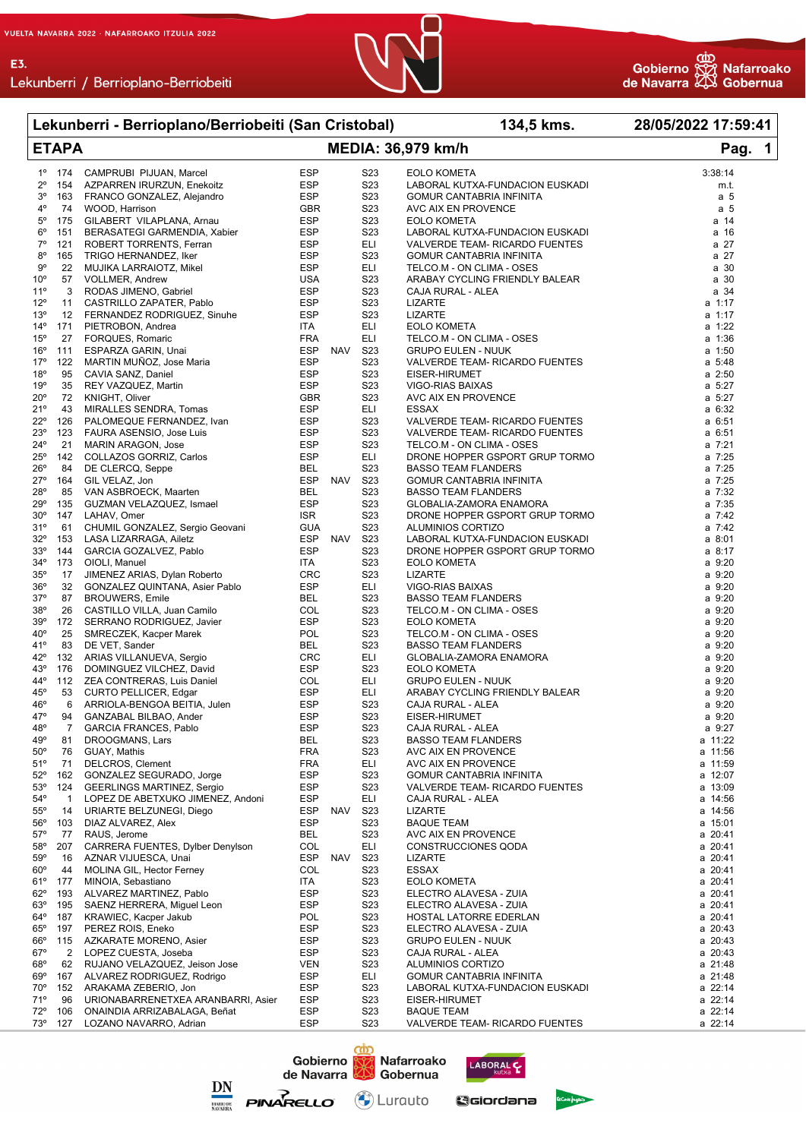



Lekunberri / Berrioplano-Berriobeiti

|                            |                      | Lekunberri - Berrioplano/Berriobeiti (San Cristobal)           |                          |            |                                      | 134,5 kms.                                                       | 28/05/2022 17:59:41 |
|----------------------------|----------------------|----------------------------------------------------------------|--------------------------|------------|--------------------------------------|------------------------------------------------------------------|---------------------|
|                            | <b>ETAPA</b>         |                                                                |                          |            |                                      | <b>MEDIA: 36,979 km/h</b>                                        | Pag. 1              |
| $1^{\circ}$                | 174                  | CAMPRUBI PIJUAN, Marcel                                        | <b>ESP</b>               |            | S <sub>2</sub> 3                     | EOLO KOMETA                                                      | 3:38:14             |
| $2^{\circ}$                | 154                  | AZPARREN IRURZUN, Enekoitz                                     | <b>ESP</b>               |            | S <sub>2</sub> 3                     | LABORAL KUTXA-FUNDACION EUSKADI                                  | m.t.                |
| 3°                         | 163                  | FRANCO GONZALEZ, Alejandro                                     | <b>ESP</b>               |            | S <sub>2</sub> 3                     | <b>GOMUR CANTABRIA INFINITA</b>                                  | a <sub>5</sub>      |
| 4°                         | 74                   | WOOD, Harrison                                                 | <b>GBR</b>               |            | S <sub>23</sub>                      | AVC AIX EN PROVENCE                                              | a <sub>5</sub>      |
| $5^{\circ}$<br>$6^{\circ}$ | 175<br>151           | GILABERT VILAPLANA, Arnau<br>BERASATEGI GARMENDIA, Xabier      | <b>ESP</b><br><b>ESP</b> |            | S <sub>2</sub> 3<br>S <sub>23</sub>  | <b>EOLO KOMETA</b><br>LABORAL KUTXA-FUNDACION EUSKADI            | a 14<br>a 16        |
| $7^{\circ}$                | 121                  | ROBERT TORRENTS, Ferran                                        | <b>ESP</b>               |            | ELI                                  | VALVERDE TEAM- RICARDO FUENTES                                   | a 27                |
| $8^{\circ}$                | 165                  | TRIGO HERNANDEZ, Iker                                          | <b>ESP</b>               |            | S <sub>23</sub>                      | <b>GOMUR CANTABRIA INFINITA</b>                                  | a 27                |
| 9°                         | 22                   | MUJIKA LARRAIOTZ, Mikel                                        | <b>ESP</b>               |            | ELI                                  | TELCO.M - ON CLIMA - OSES                                        | a 30                |
| 10 <sup>o</sup>            |                      | 57 VOLLMER, Andrew                                             | <b>USA</b>               |            | S <sub>2</sub> 3                     | ARABAY CYCLING FRIENDLY BALEAR                                   | a 30                |
| 11°                        | 3                    | RODAS JIMENO, Gabriel                                          | <b>ESP</b>               |            | S <sub>2</sub> 3                     | CAJA RURAL - ALEA                                                | a 34                |
| $12^{\circ}$               | 11                   | CASTRILLO ZAPATER, Pablo                                       | <b>ESP</b>               |            | S <sub>2</sub> 3                     | <b>LIZARTE</b>                                                   | a 1:17              |
| 13°<br>$14^{\circ}$        | 171                  | 12 FERNANDEZ RODRIGUEZ, Sinuhe<br>PIETROBON, Andrea            | <b>ESP</b><br>ITA.       |            | S <sub>23</sub><br>ELI               | <b>LIZARTE</b><br><b>EOLO KOMETA</b>                             | a 1:17<br>a 1:22    |
| 15°                        | 27                   | FORQUES, Romaric                                               | <b>FRA</b>               |            | <b>ELI</b>                           | TELCO.M - ON CLIMA - OSES                                        | a 1:36              |
| $16^{\circ}$               | 111                  | ESPARZA GARIN, Unai                                            | <b>ESP</b>               | NAV        | S23                                  | <b>GRUPO EULEN - NUUK</b>                                        | $a$ 1:50            |
| 17°                        | 122                  | MARTIN MUÑOZ, Jose Maria                                       | <b>ESP</b>               |            | S <sub>2</sub> 3                     | VALVERDE TEAM- RICARDO FUENTES                                   | $a \t 5:48$         |
| 18°                        | 95                   | CAVIA SANZ, Daniel                                             | <b>ESP</b>               |            | S <sub>2</sub> 3                     | EISER-HIRUMET                                                    | $a$ 2:50            |
| 19°                        | 35                   | REY VAZQUEZ, Martin                                            | <b>ESP</b>               |            | S <sub>23</sub>                      | VIGO-RIAS BAIXAS                                                 | a 5:27              |
| $20^{\circ}$               | 72                   | KNIGHT, Oliver                                                 | <b>GBR</b>               |            | S <sub>2</sub> 3                     | AVC AIX EN PROVENCE                                              | a 5:27              |
| 21°                        | 43                   | MIRALLES SENDRA, Tomas                                         | <b>ESP</b>               |            | <b>ELI</b>                           | <b>ESSAX</b>                                                     | a 6:32              |
| $22^{\circ}$<br>23°        | 126<br>123           | PALOMEQUE FERNANDEZ, Ivan<br>FAURA ASENSIO, Jose Luis          | ESP<br><b>ESP</b>        |            | S <sub>2</sub> 3<br>S <sub>2</sub> 3 | VALVERDE TEAM- RICARDO FUENTES<br>VALVERDE TEAM- RICARDO FUENTES | a 6:51<br>a 6:51    |
| $24^{\circ}$               | 21                   | <b>MARIN ARAGON, Jose</b>                                      | <b>ESP</b>               |            | S <sub>23</sub>                      | TELCO.M - ON CLIMA - OSES                                        | a 7:21              |
| $25^{\circ}$               | 142                  | COLLAZOS GORRIZ, Carlos                                        | <b>ESP</b>               |            | <b>ELI</b>                           | DRONE HOPPER GSPORT GRUP TORMO                                   | a 7:25              |
| $26^{\circ}$               | 84                   | DE CLERCQ, Seppe                                               | BEL                      |            | S <sub>2</sub> 3                     | <b>BASSO TEAM FLANDERS</b>                                       | a 7:25              |
| $27^\circ$                 | 164                  | GIL VELAZ, Jon                                                 | <b>ESP</b>               | NAV        | S23                                  | GOMUR CANTABRIA INFINITA                                         | a 7:25              |
| 28°                        | 85                   | VAN ASBROECK, Maarten                                          | <b>BEL</b>               |            | S <sub>2</sub> 3                     | <b>BASSO TEAM FLANDERS</b>                                       | a 7:32              |
| 29°                        | 135                  | GUZMAN VELAZQUEZ, Ismael                                       | <b>ESP</b>               |            | S <sub>23</sub>                      | GLOBALIA-ZAMORA ENAMORA                                          | a 7:35              |
| $30^{\circ}$<br>31°        |                      | 147 LAHAV, Omer                                                | <b>ISR</b><br><b>GUA</b> |            | S <sub>2</sub> 3<br>S <sub>2</sub> 3 | DRONE HOPPER GSPORT GRUP TORMO                                   | a 7:42<br>a 7:42    |
| $32^{\circ}$               | 153                  | 61 CHUMIL GONZALEZ, Sergio Geovani<br>LASA LIZARRAGA, Ailetz   | ESP                      | NAV        | S <sub>2</sub> 3                     | ALUMINIOS CORTIZO<br>LABORAL KUTXA-FUNDACION EUSKADI             | a 8:01              |
| $33^{\circ}$               | 144                  | GARCIA GOZALVEZ, Pablo                                         | <b>ESP</b>               |            | S <sub>2</sub> 3                     | DRONE HOPPER GSPORT GRUP TORMO                                   | a 8:17              |
| $34^\circ$                 | 173                  | OIOLI, Manuel                                                  | ITA                      |            | S <sub>2</sub> 3                     | <b>EOLO KOMETA</b>                                               | a 9:20              |
| 35°                        | 17                   | JIMENEZ ARIAS, Dylan Roberto                                   | <b>CRC</b>               |            | S <sub>23</sub>                      | <b>LIZARTE</b>                                                   | a 9:20              |
| 36°                        | 32                   | GONZALEZ QUINTANA, Asier Pablo                                 | <b>ESP</b>               |            | <b>ELI</b>                           | VIGO-RIAS BAIXAS                                                 | a 9:20              |
| $37^\circ$                 | 87                   | <b>BROUWERS, Emile</b>                                         | <b>BEL</b>               |            | S <sub>2</sub> 3                     | <b>BASSO TEAM FLANDERS</b>                                       | a 9:20              |
| 38°<br>39°                 |                      | 26 CASTILLO VILLA, Juan Camilo                                 | COL<br><b>ESP</b>        |            | S <sub>2</sub> 3<br>S <sub>2</sub> 3 | TELCO.M - ON CLIMA - OSES<br><b>EOLO KOMETA</b>                  | a 9:20<br>a 9:20    |
| $40^{\circ}$               | 25                   | 172 SERRANO RODRIGUEZ, Javier<br>SMRECZEK, Kacper Marek        | <b>POL</b>               |            | S <sub>2</sub> 3                     | TELCO.M - ON CLIMA - OSES                                        | a 9:20              |
| 41°                        | 83                   | DE VET, Sander                                                 | <b>BEL</b>               |            | S <sub>2</sub> 3                     | <b>BASSO TEAM FLANDERS</b>                                       | a 9:20              |
| $42^{\circ}$               |                      | 132 ARIAS VILLANUEVA, Sergio                                   | <b>CRC</b>               |            | ELI                                  | GLOBALIA-ZAMORA ENAMORA                                          | a 9:20              |
| 43°                        |                      | 176 DOMINGUEZ VILCHEZ, David                                   | <b>ESP</b>               |            | S <sub>2</sub> 3                     | <b>EOLO KOMETA</b>                                               | a 9:20              |
| 44°                        |                      | 112 ZEA CONTRERAS, Luis Daniel                                 | COL                      |            | <b>ELI</b>                           | <b>GRUPO EULEN - NUUK</b>                                        | a 9:20              |
| $45^{\circ}$               | 53                   | CURTO PELLICER, Edgar                                          | <b>ESP</b>               |            | ELI                                  | ARABAY CYCLING FRIENDLY BALEAR                                   | a 9:20              |
| $46^{\circ}$               | 6                    | ARRIOLA-BENGOA BEITIA, Julen                                   | <b>ESP</b>               |            | S <sub>2</sub> 3                     | CAJA RURAL - ALEA                                                | a 9:20              |
| 47°<br>48°                 | 94<br>$\overline{7}$ | GANZABAL BILBAO, Ander<br><b>GARCIA FRANCES, Pablo</b>         | <b>ESP</b><br>ESP        |            | S23<br>S <sub>2</sub> 3              | EISER-HIRUMET<br>CAJA RURAL - ALEA                               | a 9:20<br>a 9:27    |
| 49°                        | 81                   | DROOGMANS, Lars                                                | BEL                      |            | S23                                  | <b>BASSO TEAM FLANDERS</b>                                       | a 11:22             |
| $50^\circ$                 | 76                   | GUAY, Mathis                                                   | <b>FRA</b>               |            | S23                                  | AVC AIX EN PROVENCE                                              | a 11:56             |
| 51°                        | 71                   | DELCROS, Clement                                               | <b>FRA</b>               |            | ELI                                  | AVC AIX EN PROVENCE                                              | a 11:59             |
| $52^\circ$                 | 162                  | GONZALEZ SEGURADO, Jorge                                       | <b>ESP</b>               |            | S <sub>2</sub> 3                     | GOMUR CANTABRIA INFINITA                                         | a 12:07             |
| 53°                        | 124                  | <b>GEERLINGS MARTINEZ, Sergio</b>                              | ESP                      |            | S23                                  | VALVERDE TEAM- RICARDO FUENTES                                   | a 13:09             |
| $54^{\circ}$               | $\mathbf{1}$         | LOPEZ DE ABETXUKO JIMENEZ, Andoni                              | ESP                      |            | ELI                                  | CAJA RURAL - ALEA                                                | a 14:56             |
| $55^\circ$<br>56°          | 14<br>103            | URIARTE BELZUNEGI, Diego<br>DIAZ ALVAREZ, Alex                 | ESP<br>ESP               | NAV        | S23<br>S <sub>2</sub> 3              | LIZARTE<br><b>BAQUE TEAM</b>                                     | a 14:56<br>a 15:01  |
| $57^\circ$                 | 77                   | RAUS, Jerome                                                   | BEL                      |            | S <sub>2</sub> 3                     | AVC AIX EN PROVENCE                                              | a 20:41             |
| $58^\circ$                 | 207                  | CARRERA FUENTES, Dylber Denylson                               | COL                      |            | ELI                                  | CONSTRUCCIONES QODA                                              | a 20:41             |
| $59^\circ$                 | 16                   | AZNAR VIJUESCA, Unai                                           | ESP                      | <b>NAV</b> | S <sub>2</sub> 3                     | <b>LIZARTE</b>                                                   | a 20:41             |
| $60^\circ$                 | 44                   | MOLINA GIL, Hector Ferney                                      | COL                      |            | S <sub>2</sub> 3                     | ESSAX                                                            | a 20:41             |
| 61°                        | 177                  | MINOIA, Sebastiano                                             | ITA                      |            | S23                                  | <b>EOLO KOMETA</b>                                               | a 20:41             |
| $62^{\circ}$               | 193                  | ALVAREZ MARTINEZ, Pablo                                        | <b>ESP</b>               |            | S <sub>2</sub> 3                     | ELECTRO ALAVESA - ZUIA                                           | a 20:41             |
| 63°<br>$64^{\circ}$        | 195<br>187           | SAENZ HERRERA, Miguel Leon<br>KRAWIEC, Kacper Jakub            | <b>ESP</b><br><b>POL</b> |            | S <sub>2</sub> 3<br>S23              | ELECTRO ALAVESA - ZUIA                                           | a 20:41<br>a 20:41  |
| $65^{\circ}$               | 197                  | PEREZ ROIS, Eneko                                              | <b>ESP</b>               |            | S23                                  | HOSTAL LATORRE EDERLAN<br>ELECTRO ALAVESA - ZUIA                 | a 20:43             |
| $66^{\circ}$               |                      | 115 AZKARATE MORENO, Asier                                     | ESP                      |            | S23                                  | <b>GRUPO EULEN - NUUK</b>                                        | a 20:43             |
| $67^\circ$                 | 2                    | LOPEZ CUESTA, Joseba                                           | ESP                      |            | S23                                  | CAJA RURAL - ALEA                                                | a 20:43             |
| $68^{\circ}$               | 62                   | RUJANO VELAZQUEZ, Jeison Jose                                  | <b>VEN</b>               |            | S <sub>2</sub> 3                     | ALUMINIOS CORTIZO                                                | a 21:48             |
| $69^\circ$                 | 167                  | ALVAREZ RODRIGUEZ, Rodrigo                                     | <b>ESP</b>               |            | ELI                                  | GOMUR CANTABRIA INFINITA                                         | a 21:48             |
| 70°                        | 152                  | ARAKAMA ZEBERIO, Jon                                           | ESP                      |            | S <sub>2</sub> 3                     | LABORAL KUTXA-FUNDACION EUSKADI                                  | a 22:14             |
| 71°                        | 96                   | URIONABARRENETXEA ARANBARRI, Asier                             | ESP                      |            | S <sub>2</sub> 3                     | EISER-HIRUMET                                                    | a 22:14             |
| $72^{\circ}$               | 106                  | ONAINDIA ARRIZABALAGA, Beñat<br>73º 127 LOZANO NAVARRO, Adrian | ESP<br>ESP               |            | S <sub>2</sub> 3<br>S <sub>2</sub> 3 | <b>BAQUE TEAM</b><br>VALVERDE TEAM- RICARDO FUENTES              | a 22:14<br>a 22:14  |
|                            |                      |                                                                |                          |            |                                      |                                                                  |                     |





<u>රෝ</u>



Geiordana

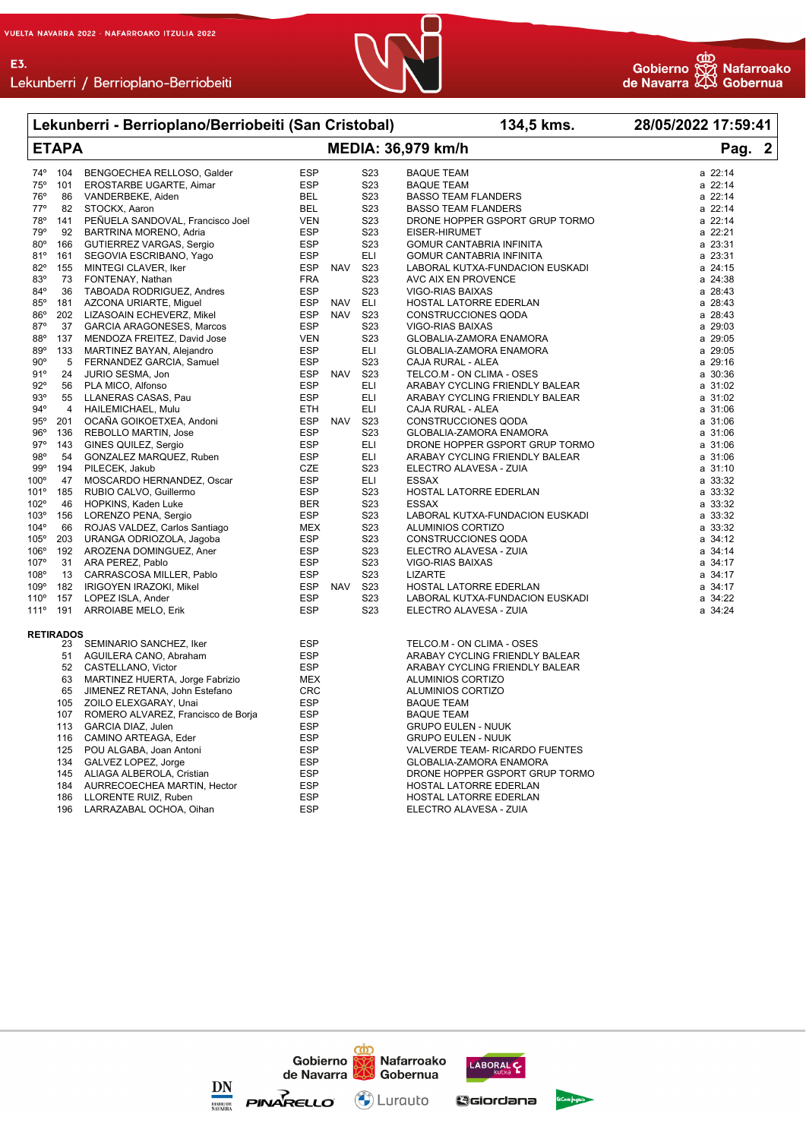E3.





|               |                  | Lekunberri - Berrioplano/Berriobeiti (San Cristobal)     |                          |            |                    | 134,5 kms.                                                  | 28/05/2022 17:59:41 |  |  |
|---------------|------------------|----------------------------------------------------------|--------------------------|------------|--------------------|-------------------------------------------------------------|---------------------|--|--|
| <b>ETAPA</b>  |                  |                                                          |                          |            | MEDIA: 36,979 km/h | Pag. 2                                                      |                     |  |  |
| 74°           | 104              | BENGOECHEA RELLOSO, Galder                               | <b>ESP</b>               |            | S <sub>2</sub> 3   | <b>BAQUE TEAM</b>                                           | a 22:14             |  |  |
| $75^{\circ}$  | 101              | EROSTARBE UGARTE, Aimar                                  | <b>ESP</b>               |            | S23                | <b>BAQUE TEAM</b>                                           | a 22:14             |  |  |
| 76°           | 86               | VANDERBEKE, Aiden                                        | <b>BEL</b>               |            | S <sub>2</sub> 3   | <b>BASSO TEAM FLANDERS</b>                                  | a 22:14             |  |  |
| 77°           | 82               | STOCKX, Aaron                                            | <b>BEL</b>               |            | S23                | <b>BASSO TEAM FLANDERS</b>                                  | a 22:14             |  |  |
| 78°           | 141              | PEÑUELA SANDOVAL, Francisco Joel                         | <b>VEN</b>               |            | S <sub>2</sub> 3   | DRONE HOPPER GSPORT GRUP TORMO                              | a 22:14             |  |  |
| 79°           | 92               | BARTRINA MORENO, Adria                                   | <b>ESP</b>               |            | S <sub>2</sub> 3   | EISER-HIRUMET                                               | a 22:21             |  |  |
| $80^\circ$    | 166              | GUTIERREZ VARGAS, Sergio                                 | <b>ESP</b>               |            | S <sub>23</sub>    | GOMUR CANTABRIA INFINITA                                    | a 23:31             |  |  |
| 81°           | 161              | SEGOVIA ESCRIBANO, Yago                                  | <b>ESP</b>               |            | <b>ELI</b>         | GOMUR CANTABRIA INFINITA                                    | a 23:31             |  |  |
| $82^\circ$    | 155              | MINTEGI CLAVER, Iker                                     | <b>ESP</b>               | <b>NAV</b> | S <sub>2</sub> 3   | LABORAL KUTXA-FUNDACION EUSKADI                             | a 24:15             |  |  |
| 83°           | 73               | FONTENAY, Nathan                                         | <b>FRA</b>               |            | S <sub>2</sub> 3   | AVC AIX EN PROVENCE                                         | a 24:38             |  |  |
| 84°           | 36               | TABOADA RODRIGUEZ, Andres                                | <b>ESP</b>               |            | S <sub>2</sub> 3   | VIGO-RIAS BAIXAS                                            | a 28:43             |  |  |
| $85^\circ$    | 181              | AZCONA URIARTE, Miguel                                   | <b>ESP</b>               | <b>NAV</b> | <b>ELI</b>         | HOSTAL LATORRE EDERLAN                                      | a 28:43             |  |  |
| $86^{\circ}$  | 202              | LIZASOAIN ECHEVERZ, Mikel                                | <b>ESP</b>               | <b>NAV</b> | S <sub>2</sub> 3   | <b>CONSTRUCCIONES QODA</b>                                  | a 28:43             |  |  |
| $87^\circ$    | 37               | <b>GARCIA ARAGONESES, Marcos</b>                         | <b>ESP</b>               |            | S <sub>2</sub> 3   | VIGO-RIAS BAIXAS                                            | a 29:03             |  |  |
| 88°           | 137              | MENDOZA FREITEZ, David Jose                              | <b>VEN</b>               |            | S <sub>2</sub> 3   | GLOBALIA-ZAMORA ENAMORA                                     | a 29:05             |  |  |
| 89°           | 133              | MARTINEZ BAYAN, Alejandro                                | <b>ESP</b>               |            | <b>ELI</b>         | GLOBALIA-ZAMORA ENAMORA                                     | a 29:05             |  |  |
| $90^{\circ}$  | 5                | FERNANDEZ GARCIA, Samuel                                 | <b>ESP</b>               |            | S <sub>2</sub> 3   | CAJA RURAL - ALEA                                           | a 29:16             |  |  |
| 91°           | 24               | JURIO SESMA, Jon                                         | <b>ESP</b>               | <b>NAV</b> | S23                | TELCO.M - ON CLIMA - OSES                                   | a 30:36             |  |  |
| $92^{\circ}$  | 56               | PLA MICO, Alfonso                                        | <b>ESP</b>               |            | <b>ELI</b>         | ARABAY CYCLING FRIENDLY BALEAR                              | a 31:02             |  |  |
| 93°           | 55               | LLANERAS CASAS, Pau                                      | <b>ESP</b>               |            | ELI                | ARABAY CYCLING FRIENDLY BALEAR                              | a 31:02             |  |  |
| $94^{\circ}$  | 4                | HAILEMICHAEL, Mulu                                       | ETH                      |            | ELI                | CAJA RURAL - ALEA                                           | a 31:06             |  |  |
| 95°           | 201              | OCAÑA GOIKOETXEA, Andoni                                 | <b>ESP</b>               | NAV        | S23                | CONSTRUCCIONES QODA                                         | a 31:06             |  |  |
| 96°           | 136              | REBOLLO MARTIN, Jose                                     | <b>ESP</b>               |            | S <sub>23</sub>    | GLOBALIA-ZAMORA ENAMORA                                     | a 31:06             |  |  |
| 97°           | 143              | GINES QUILEZ, Sergio                                     | <b>ESP</b>               |            | <b>ELI</b>         | DRONE HOPPER GSPORT GRUP TORMO                              | a 31:06             |  |  |
| 98°           | 54               | GONZALEZ MARQUEZ, Ruben                                  | <b>ESP</b>               |            | ELI                | ARABAY CYCLING FRIENDLY BALEAR                              | a 31:06             |  |  |
| 99°           | 194              | PILECEK, Jakub                                           | <b>CZE</b>               |            | S23                | ELECTRO ALAVESA - ZUIA                                      | a 31:10             |  |  |
| $100^\circ$   | 47               | MOSCARDO HERNANDEZ, Oscar                                | <b>ESP</b>               |            | <b>ELI</b>         | <b>ESSAX</b>                                                | a 33:32             |  |  |
| 101°          | 185              | RUBIO CALVO, Guillermo                                   | <b>ESP</b>               |            | S23                | HOSTAL LATORRE EDERLAN                                      | a 33:32             |  |  |
| 102°          | 46               | HOPKINS, Kaden Luke                                      | <b>BER</b>               |            | S <sub>2</sub> 3   | <b>ESSAX</b>                                                | a 33:32             |  |  |
| 103°          | 156              | LORENZO PENA, Sergio                                     | <b>ESP</b>               |            | S <sub>2</sub> 3   | LABORAL KUTXA-FUNDACION EUSKADI                             | a 33:32             |  |  |
| 104°          | 66               | ROJAS VALDEZ, Carlos Santiago                            | MEX                      |            | S <sub>2</sub> 3   | ALUMINIOS CORTIZO                                           | a 33:32             |  |  |
| 105°          | 203              | URANGA ODRIOZOLA, Jagoba                                 | <b>ESP</b>               |            | S23                | <b>CONSTRUCCIONES QODA</b>                                  | a 34:12             |  |  |
| 106°          | 192              | AROZENA DOMINGUEZ, Aner                                  | <b>ESP</b>               |            | S <sub>2</sub> 3   | ELECTRO ALAVESA - ZUIA                                      | a 34:14             |  |  |
| 107°          | 31               | ARA PEREZ, Pablo                                         | <b>ESP</b>               |            | S <sub>2</sub> 3   | VIGO-RIAS BAIXAS                                            | a 34:17             |  |  |
| 108°          | 13               | CARRASCOSA MILLER, Pablo                                 | <b>ESP</b>               |            | S <sub>2</sub> 3   | <b>LIZARTE</b>                                              | a 34:17             |  |  |
| 109°          | 182              | IRIGOYEN IRAZOKI, Mikel                                  | <b>ESP</b>               | <b>NAV</b> | S <sub>2</sub> 3   | HOSTAL LATORRE EDERLAN                                      | a 34:17             |  |  |
| $110^{\circ}$ | 157              | LOPEZ ISLA, Ander                                        | <b>ESP</b>               |            | S <sub>2</sub> 3   | LABORAL KUTXA-FUNDACION EUSKADI                             | a 34:22             |  |  |
| 111°          | 191              | <b>ARROIABE MELO, Erik</b>                               | <b>ESP</b>               |            | S <sub>2</sub> 3   | ELECTRO ALAVESA - ZUIA                                      | a 34:24             |  |  |
|               | <b>RETIRADOS</b> |                                                          |                          |            |                    |                                                             |                     |  |  |
|               | 23               | SEMINARIO SANCHEZ, Iker<br>AGUILERA CANO, Abraham        | <b>ESP</b><br><b>ESP</b> |            |                    | TELCO.M - ON CLIMA - OSES<br>ARABAY CYCLING FRIENDLY BALEAR |                     |  |  |
|               | 51<br>52         |                                                          | <b>ESP</b>               |            |                    |                                                             |                     |  |  |
|               | 63               | CASTELLANO, Victor                                       |                          |            |                    | ARABAY CYCLING FRIENDLY BALEAR<br>ALUMINIOS CORTIZO         |                     |  |  |
|               |                  | MARTINEZ HUERTA, Jorge Fabrizio                          | MEX                      |            |                    |                                                             |                     |  |  |
|               | 65               | JIMENEZ RETANA, John Estefano                            | <b>CRC</b>               |            |                    | ALUMINIOS CORTIZO                                           |                     |  |  |
|               | 105              | ZOILO ELEXGARAY, Unai                                    | <b>ESP</b>               |            |                    | <b>BAQUE TEAM</b>                                           |                     |  |  |
|               | 107<br>113       | ROMERO ALVAREZ, Francisco de Borja<br>GARCIA DIAZ, Julen | <b>ESP</b><br><b>ESP</b> |            |                    | <b>BAQUE TEAM</b><br><b>GRUPO EULEN - NUUK</b>              |                     |  |  |
|               |                  |                                                          |                          |            |                    |                                                             |                     |  |  |
|               | 116<br>125       | CAMINO ARTEAGA, Eder<br>POU ALGABA, Joan Antoni          | <b>ESP</b><br><b>ESP</b> |            |                    | <b>GRUPO EULEN - NUUK</b><br>VALVERDE TEAM- RICARDO FUENTES |                     |  |  |
|               | 134              |                                                          | <b>ESP</b>               |            |                    |                                                             |                     |  |  |
|               |                  | GALVEZ LOPEZ, Jorge                                      |                          |            |                    | GLOBALIA-ZAMORA ENAMORA                                     |                     |  |  |
|               | 145              | ALIAGA ALBEROLA, Cristian                                | <b>ESP</b>               |            |                    | DRONE HOPPER GSPORT GRUP TORMO                              |                     |  |  |
|               | 184              | AURRECOECHEA MARTIN, Hector                              | <b>ESP</b>               |            |                    | HOSTAL LATORRE EDERLAN                                      |                     |  |  |
|               | 186              | LLORENTE RUIZ, Ruben                                     | <b>ESP</b>               |            |                    | HOSTAL LATORRE EDERLAN                                      |                     |  |  |
|               | 196              | LARRAZABAL OCHOA, Oihan                                  | <b>ESP</b>               |            |                    | ELECTRO ALAVESA - ZUIA                                      |                     |  |  |

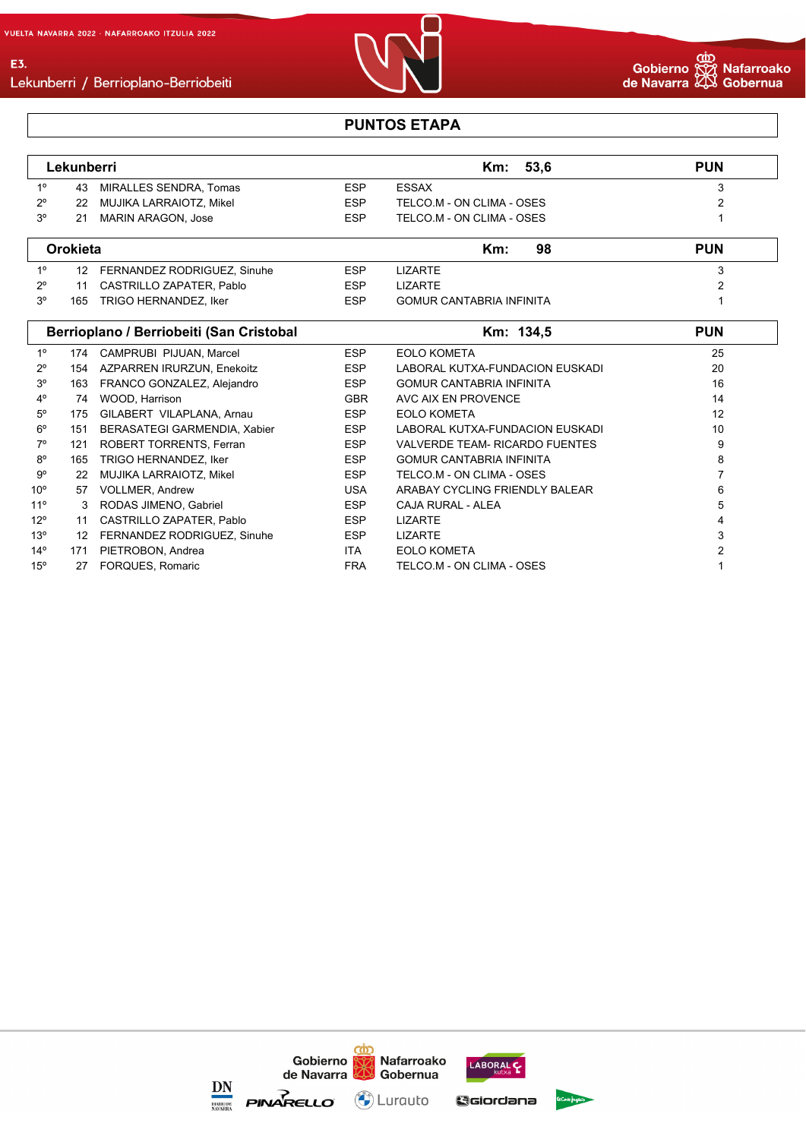E3.



#### **PUNTOS ETAPA**

|     | Lekunberri |                         |            | Km: 53.6                  | <b>PUN</b> |
|-----|------------|-------------------------|------------|---------------------------|------------|
| 10  | 43         | MIRALLES SENDRA. Tomas  | <b>ESP</b> | ESSAX                     |            |
| 20  | 22         | MUJIKA LARRAIOTZ, Mikel | <b>ESP</b> | TELCO.M - ON CLIMA - OSES |            |
| -20 | 21         | MARIN ARAGON, Jose      | <b>ESP</b> | TELCO.M - ON CLIMA - OSES |            |

|    | Orokieta        |                             |            | Km:<br>98                       | <b>PUN</b> |
|----|-----------------|-----------------------------|------------|---------------------------------|------------|
| 10 | 12 <sup>°</sup> | FERNANDEZ RODRIGUEZ, Sinuhe | <b>ESP</b> | LIZARTE                         |            |
| າ  |                 | CASTRILLO ZAPATER, Pablo    | ESP        | LIZARTE                         |            |
| 20 | 165             | TRIGO HERNANDEZ, Iker       | <b>ESP</b> | <b>GOMUR CANTABRIA INFINITA</b> |            |

|              |     | Berrioplano / Berriobeiti (San Cristobal |            | Km: 134,5                       | <b>PUN</b> |
|--------------|-----|------------------------------------------|------------|---------------------------------|------------|
| $1^{\circ}$  | 174 | CAMPRUBI PIJUAN, Marcel                  | <b>ESP</b> | <b>EOLO KOMETA</b>              | 25         |
| $2^{\circ}$  | 154 | AZPARREN IRURZUN, Enekoitz               | <b>ESP</b> | LABORAL KUTXA-FUNDACION EUSKADI | 20         |
| $3^{\circ}$  | 163 | FRANCO GONZALEZ, Alejandro               | <b>ESP</b> | <b>GOMUR CANTABRIA INFINITA</b> | 16         |
| $4^{\circ}$  | 74  | WOOD, Harrison                           | <b>GBR</b> | AVC AIX EN PROVENCE             | 14         |
| $5^{\circ}$  | 175 | GILABERT VILAPLANA, Arnau                | <b>ESP</b> | <b>EOLO KOMETA</b>              | 12         |
| $6^{\circ}$  | 151 | <b>BERASATEGI GARMENDIA, Xabier</b>      | <b>ESP</b> | LABORAL KUTXA-FUNDACION EUSKADI | 10         |
| $7^\circ$    | 121 | ROBERT TORRENTS, Ferran                  | <b>ESP</b> | VALVERDE TEAM- RICARDO FUENTES  | 9          |
| $8^{\circ}$  | 165 | TRIGO HERNANDEZ, Iker                    | <b>ESP</b> | <b>GOMUR CANTABRIA INFINITA</b> | 8          |
| 9°           | 22  | MUJIKA LARRAIOTZ, Mikel                  | <b>ESP</b> | TELCO.M - ON CLIMA - OSES       |            |
| $10^{\circ}$ | 57  | <b>VOLLMER, Andrew</b>                   | <b>USA</b> | ARABAY CYCLING FRIENDLY BALEAR  | 6          |
| $11^{\circ}$ | 3   | RODAS JIMENO, Gabriel                    | <b>ESP</b> | CAJA RURAL - ALEA               | 5          |
| $12^{\circ}$ | 11  | CASTRILLO ZAPATER, Pablo                 | <b>ESP</b> | <b>LIZARTE</b>                  | 4          |
| $13^{\circ}$ | 12  | FERNANDEZ RODRIGUEZ, Sinuhe              | <b>ESP</b> | <b>LIZARTE</b>                  | 3          |
| $14^{\circ}$ | 171 | PIETROBON, Andrea                        | ITA.       | <b>EOLO KOMETA</b>              |            |
| $15^{\circ}$ | 27  | FORQUES, Romaric                         | <b>FRA</b> | TELCO.M - ON CLIMA - OSES       |            |

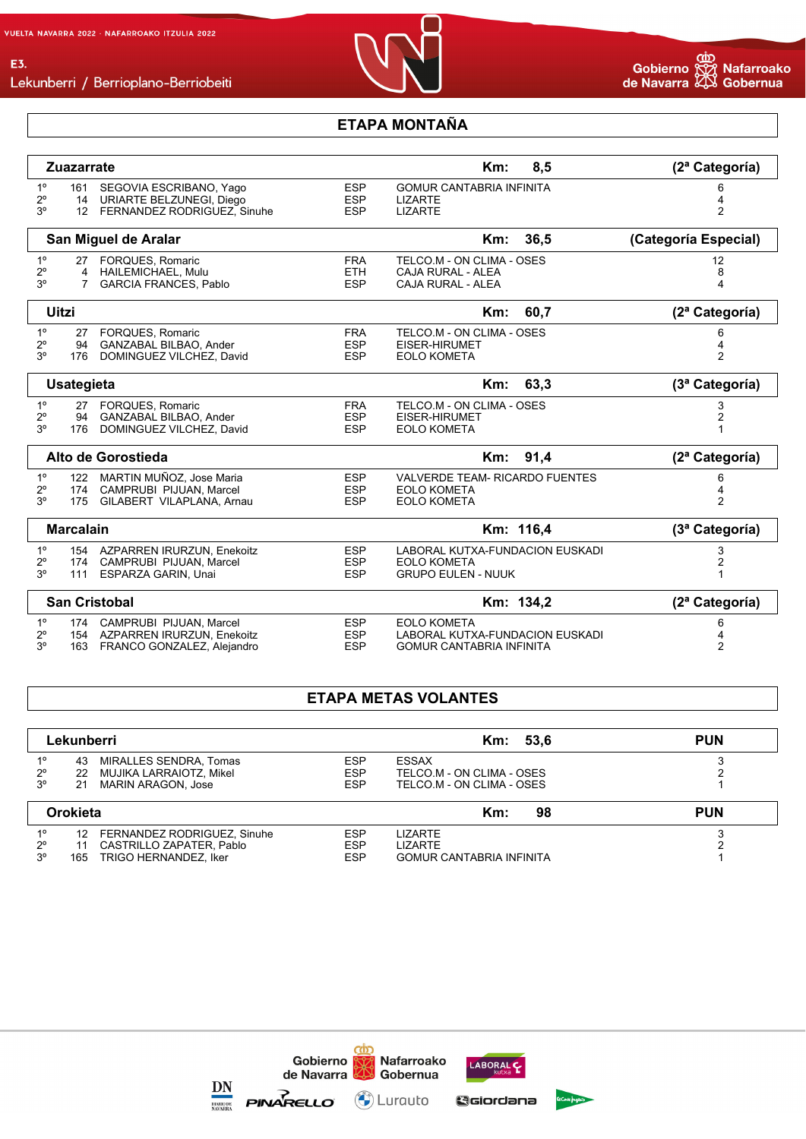

Lekunberri / Berrioplano-Berriobeiti

#### **ETAPA MONTAÑA**

|                                              | <b>Zuazarrate</b>                                                                                  |                                        | 8,5<br>$Km$ :                                                                            | (2ª Categoría)       |
|----------------------------------------------|----------------------------------------------------------------------------------------------------|----------------------------------------|------------------------------------------------------------------------------------------|----------------------|
| $1^{\circ}$<br>$2^{\circ}$<br>3 <sup>o</sup> | 161 SEGOVIA ESCRIBANO, Yago<br>14 URIARTE BELZUNEGI, Diego<br>12 FERNANDEZ RODRIGUEZ, Sinuhe       | <b>ESP</b><br><b>ESP</b><br><b>ESP</b> | <b>GOMUR CANTABRIA INFINITA</b><br><b>LIZARTE</b><br><b>LIZARTE</b>                      | 6<br>4<br>2          |
|                                              | San Miguel de Aralar                                                                               |                                        | 36,5<br>$Km$ :                                                                           | (Categoría Especial) |
| $1^{\circ}$<br>$2^{\circ}$<br>3 <sup>o</sup> | 27 FORQUES, Romaric<br>4 HAILEMICHAEL, Mulu<br><b>GARCIA FRANCES, Pablo</b><br>$7^{\circ}$         | <b>FRA</b><br><b>ETH</b><br><b>ESP</b> | TELCO.M - ON CLIMA - OSES<br>CAJA RURAL - ALEA<br><b>CAJA RURAL - ALEA</b>               | 12<br>8<br>4         |
| <b>Uitzi</b>                                 |                                                                                                    |                                        | 60,7<br>Km:                                                                              | (2ª Categoría)       |
| 1 <sup>°</sup><br>$2^{\circ}$<br>$3^{\circ}$ | 27 FORQUES, Romaric<br>GANZABAL BILBAO, Ander<br>94<br>DOMINGUEZ VILCHEZ, David<br>176             | <b>FRA</b><br><b>ESP</b><br><b>ESP</b> | TELCO.M - ON CLIMA - OSES<br>EISER-HIRUMET<br><b>EOLO KOMETA</b>                         | 6<br>4<br>2          |
|                                              | <b>Usategieta</b>                                                                                  |                                        | 63,3<br>$Km$ :                                                                           | (3ª Categoría)       |
| $1^{\circ}$<br>$2^{\circ}$<br>3 <sup>o</sup> | 27 FORQUES, Romaric<br>94<br>GANZABAL BILBAO, Ander<br>DOMINGUEZ VILCHEZ, David<br>176             | <b>FRA</b><br><b>ESP</b><br><b>ESP</b> | TELCO.M - ON CLIMA - OSES<br>EISER-HIRUMET<br><b>EOLO KOMETA</b>                         | 3<br>2               |
|                                              | Alto de Gorostieda                                                                                 |                                        | 91,4<br>Km:                                                                              | (2ª Categoría)       |
| $1^{\circ}$<br>$2^{\circ}$<br>3 <sup>o</sup> | 122 MARTIN MUÑOZ. Jose Maria<br>174 CAMPRUBI PIJUAN, Marcel<br>GILABERT VILAPLANA, Arnau<br>175    | <b>ESP</b><br><b>ESP</b><br><b>ESP</b> | <b>VALVERDE TEAM- RICARDO FUENTES</b><br><b>EOLO KOMETA</b><br><b>EOLO KOMETA</b>        | 6<br>$\overline{2}$  |
|                                              | <b>Marcalain</b>                                                                                   |                                        | Km: 116,4                                                                                | (3ª Categoría)       |
| $1^{\circ}$<br>$2^{\circ}$<br>3 <sup>o</sup> | 154 AZPARREN IRURZUN, Enekoitz<br>CAMPRUBI PIJUAN, Marcel<br>174<br>111<br>ESPARZA GARIN, Unai     | <b>ESP</b><br><b>ESP</b><br><b>ESP</b> | LABORAL KUTXA-FUNDACION EUSKADI<br><b>EOLO KOMETA</b><br><b>GRUPO EULEN - NUUK</b>       | 3<br>2               |
|                                              | <b>San Cristobal</b>                                                                               |                                        | Km: 134,2                                                                                | (2ª Categoría)       |
| $1^{\circ}$<br>$2^{\circ}$<br>3 <sup>o</sup> | 174 CAMPRUBI PIJUAN, Marcel<br>154 AZPARREN IRURZUN, Enekoitz<br>FRANCO GONZALEZ, Alejandro<br>163 | <b>ESP</b><br><b>ESP</b><br><b>ESP</b> | <b>EOLO KOMETA</b><br>LABORAL KUTXA-FUNDACION EUSKADI<br><b>GOMUR CANTABRIA INFINITA</b> | 6<br>2               |

#### **ETAPA METAS VOLANTES**

|                | Lekunberri                     |            | Km: 53,6                        | <b>PUN</b> |
|----------------|--------------------------------|------------|---------------------------------|------------|
| 1 <sup>0</sup> | MIRALLES SENDRA, Tomas<br>43   | <b>ESP</b> | ESSAX                           |            |
| $2^{\circ}$    | MUJIKA LARRAIOTZ, Mikel<br>22  | <b>ESP</b> | TELCO.M - ON CLIMA - OSES       |            |
| $3^{\circ}$    | MARIN ARAGON. Jose<br>21       | <b>ESP</b> | TELCO.M - ON CLIMA - OSES       |            |
| Orokieta       |                                |            | Km:<br>98                       | <b>PUN</b> |
| 10             | 12 FERNANDEZ RODRIGUEZ, Sinuhe | <b>ESP</b> | <b>LIZARTE</b>                  |            |
| $2^{\circ}$    | CASTRILLO ZAPATER, Pablo<br>11 | <b>ESP</b> | <b>LIZARTE</b>                  |            |
| $3^{\circ}$    | TRIGO HERNANDEZ. Iker<br>165   | <b>ESP</b> | <b>GOMUR CANTABRIA INFINITA</b> |            |





<u> රෝ</u>



Gaiordana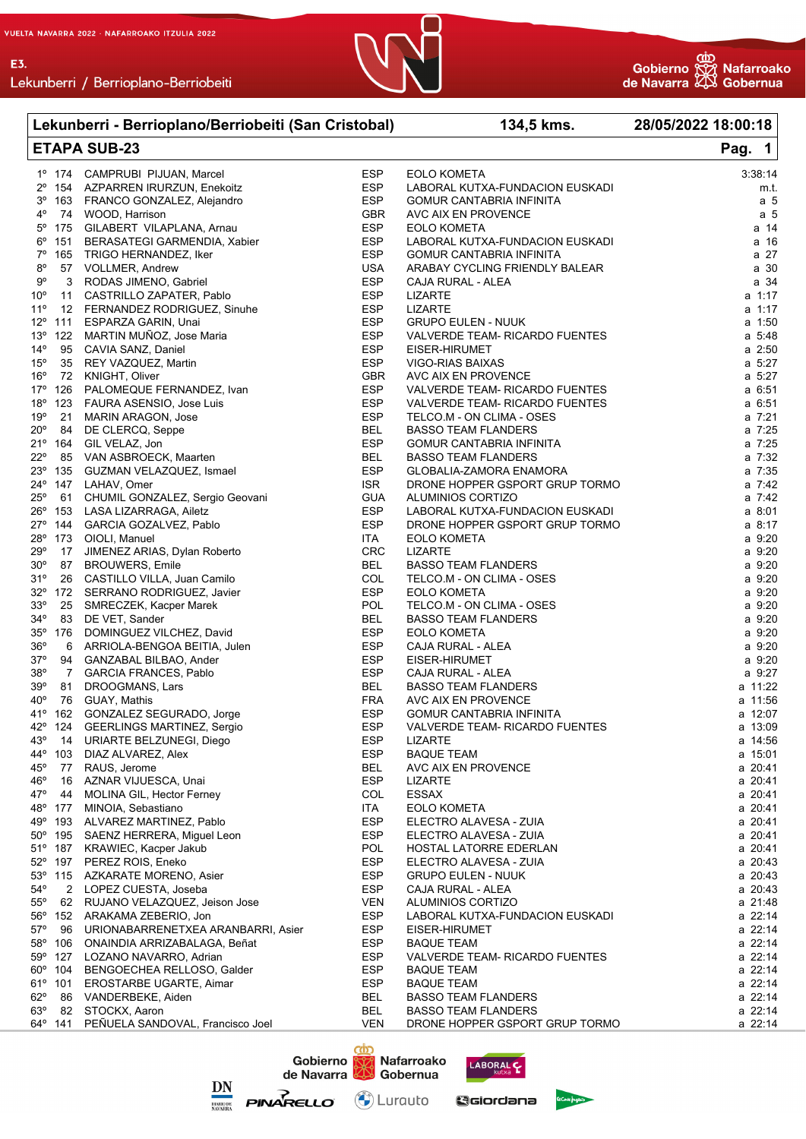

| Lekunberri - Berrioplano/Berriobeiti (San Cristobal) |                  |                                          |            | 134,5 kms.                      | 28/05/2022 18:00:18 |  |
|------------------------------------------------------|------------------|------------------------------------------|------------|---------------------------------|---------------------|--|
|                                                      |                  | <b>ETAPA SUB-23</b>                      |            | Pag. 1                          |                     |  |
|                                                      |                  | 1º 174 CAMPRUBI PIJUAN, Marcel           | <b>ESP</b> | <b>EOLO KOMETA</b>              | 3:38:14             |  |
|                                                      |                  | 2º 154 AZPARREN IRURZUN, Enekoitz        | <b>ESP</b> | LABORAL KUTXA-FUNDACION EUSKADI | m.t.                |  |
|                                                      |                  | 3º 163 FRANCO GONZALEZ, Alejandro        | <b>ESP</b> | <b>GOMUR CANTABRIA INFINITA</b> | a 5                 |  |
| 4°                                                   |                  | 74 WOOD, Harrison                        | <b>GBR</b> | AVC AIX EN PROVENCE             | a <sub>5</sub>      |  |
|                                                      |                  | 5º 175 GILABERT VILAPLANA, Arnau         | <b>ESP</b> | <b>EOLO KOMETA</b>              | a 14                |  |
|                                                      | $6^{\circ}$ 151  | BERASATEGI GARMENDIA, Xabier             | <b>ESP</b> | LABORAL KUTXA-FUNDACION EUSKADI | a 16                |  |
| $7^{\circ}$                                          |                  | 165 TRIGO HERNANDEZ, Iker                | <b>ESP</b> | <b>GOMUR CANTABRIA INFINITA</b> | a 27                |  |
| 8°                                                   |                  | 57 VOLLMER, Andrew                       | <b>USA</b> | ARABAY CYCLING FRIENDLY BALEAR  | a 30                |  |
| 9°                                                   | 3                | RODAS JIMENO, Gabriel                    | <b>ESP</b> | CAJA RURAL - ALEA               | a 34                |  |
| $10^{\circ}$                                         |                  | 11 CASTRILLO ZAPATER, Pablo              | <b>ESP</b> | LIZARTE                         | a 1:17              |  |
| $11^{\circ}$                                         |                  | 12 FERNANDEZ RODRIGUEZ, Sinuhe           | <b>ESP</b> | <b>LIZARTE</b>                  | a 1:17              |  |
| $12^{\circ}$                                         | 111              | ESPARZA GARIN, Unai                      | <b>ESP</b> | <b>GRUPO EULEN - NUUK</b>       | a 1:50              |  |
| $13^{\circ}$                                         |                  | 122 MARTIN MUÑOZ, Jose Maria             | <b>ESP</b> | VALVERDE TEAM- RICARDO FUENTES  | a 5:48              |  |
| $14^{\circ}$                                         |                  | 95 CAVIA SANZ, Daniel                    | <b>ESP</b> | EISER-HIRUMET                   | a 2:50              |  |
| $15^{\circ}$                                         | 35               | REY VAZQUEZ, Martin                      | <b>ESP</b> | VIGO-RIAS BAIXAS                | a 5:27              |  |
| $16^{\circ}$                                         |                  | 72 KNIGHT, Oliver                        | <b>GBR</b> | AVC AIX EN PROVENCE             | a 5:27              |  |
| 17°                                                  | 126              |                                          | <b>ESP</b> |                                 | a 6:51              |  |
|                                                      | 123              | PALOMEQUE FERNANDEZ, Ivan                | ESP        | VALVERDE TEAM- RICARDO FUENTES  | a 6:51              |  |
| 18°                                                  |                  | FAURA ASENSIO, Jose Luis                 |            | VALVERDE TEAM- RICARDO FUENTES  |                     |  |
| 19°                                                  | 21               | MARIN ARAGON, Jose                       | <b>ESP</b> | TELCO.M - ON CLIMA - OSES       | a 7:21              |  |
| $20^{\circ}$                                         | 84               | DE CLERCQ, Seppe                         | <b>BEL</b> | <b>BASSO TEAM FLANDERS</b>      | a 7:25              |  |
|                                                      | $21^{\circ}$ 164 | GIL VELAZ, Jon                           | <b>ESP</b> | <b>GOMUR CANTABRIA INFINITA</b> | a 7:25              |  |
| $22^{\circ}$                                         |                  | 85 VAN ASBROECK, Maarten                 | <b>BEL</b> | <b>BASSO TEAM FLANDERS</b>      | a 7:32              |  |
|                                                      | 23° 135          | GUZMAN VELAZQUEZ, Ismael                 | <b>ESP</b> | GLOBALIA-ZAMORA ENAMORA         | a 7:35              |  |
|                                                      | 24° 147          | LAHAV, Omer                              | ISR.       | DRONE HOPPER GSPORT GRUP TORMO  | a 7:42              |  |
| $25^{\circ}$                                         |                  | 61 CHUMIL GONZALEZ, Sergio Geovani       | <b>GUA</b> | ALUMINIOS CORTIZO               | a 7:42              |  |
|                                                      | 26° 153          | LASA LIZARRAGA, Ailetz                   | <b>ESP</b> | LABORAL KUTXA-FUNDACION EUSKADI | a 8:01              |  |
|                                                      | 27° 144          | GARCIA GOZALVEZ, Pablo                   | <b>ESP</b> | DRONE HOPPER GSPORT GRUP TORMO  | a 8:17              |  |
|                                                      |                  | 28° 173 OIOLI, Manuel                    | ITA        | <b>EOLO KOMETA</b>              | a 9:20              |  |
| $29^{\circ}$                                         | 17               | JIMENEZ ARIAS, Dylan Roberto             | <b>CRC</b> | <b>LIZARTE</b>                  | a 9:20              |  |
| $30^\circ$                                           | 87               | <b>BROUWERS, Emile</b>                   | <b>BEL</b> | <b>BASSO TEAM FLANDERS</b>      | a 9:20              |  |
| 31°                                                  |                  | 26 CASTILLO VILLA, Juan Camilo           | COL        | TELCO.M - ON CLIMA - OSES       | a 9:20              |  |
| $32^\circ$                                           |                  | 172 SERRANO RODRIGUEZ, Javier            | <b>ESP</b> | <b>EOLO KOMETA</b>              | a 9:20              |  |
| 33°                                                  | 25               | SMRECZEK, Kacper Marek                   | POL        | TELCO.M - ON CLIMA - OSES       | a 9:20              |  |
| 34°                                                  |                  | 83 DE VET, Sander                        | <b>BEL</b> | <b>BASSO TEAM FLANDERS</b>      | a 9:20              |  |
| 35°                                                  | 176              | DOMINGUEZ VILCHEZ, David                 | <b>ESP</b> | <b>EOLO KOMETA</b>              | a 9:20              |  |
| $36^{\circ}$                                         |                  | 6 ARRIOLA-BENGOA BEITIA, Julen           | ESP        | CAJA RURAL - ALEA               | a 9:20              |  |
| $37^\circ$                                           |                  | 94 GANZABAL BILBAO, Ander                | <b>ESP</b> | EISER-HIRUMET                   | a 9:20              |  |
| 38°                                                  |                  | 7 GARCIA FRANCES, Pablo                  | <b>ESP</b> | CAJA RURAL - ALEA               | a 9:27              |  |
| $39^\circ$                                           | 81               | DROOGMANS, Lars                          | <b>BEL</b> | <b>BASSO TEAM FLANDERS</b>      | a 11:22             |  |
| $40^{\circ}$                                         |                  | 76 GUAY, Mathis                          | FRA        | AVC AIX EN PROVENCE             | a 11:56             |  |
|                                                      |                  | 41º 162 GONZALEZ SEGURADO, Jorge         | <b>ESP</b> | GOMUR CANTABRIA INFINITA        | a 12:07             |  |
|                                                      |                  | 42° 124 GEERLINGS MARTINEZ, Sergio       | <b>ESP</b> | VALVERDE TEAM- RICARDO FUENTES  | a 13:09             |  |
| 43°                                                  |                  | 14 URIARTE BELZUNEGI, Diego              | ESP        | <b>LIZARTE</b>                  | a 14:56             |  |
|                                                      | 44° 103          | DIAZ ALVAREZ, Alex                       | <b>ESP</b> | <b>BAQUE TEAM</b>               | a 15:01             |  |
| $45^{\circ}$                                         | 77               | RAUS, Jerome                             | <b>BEL</b> | AVC AIX EN PROVENCE             | a 20:41             |  |
| 46°                                                  |                  | 16 AZNAR VIJUESCA, Unai                  | <b>ESP</b> | LIZARTE                         | a 20:41             |  |
| 47°                                                  | 44               | MOLINA GIL, Hector Ferney                | COL        | <b>ESSAX</b>                    | a 20:41             |  |
|                                                      | 48° 177          | MINOIA, Sebastiano                       | ITA        | <b>EOLO KOMETA</b>              | a 20:41             |  |
|                                                      |                  | 49° 193 ALVAREZ MARTINEZ, Pablo          | <b>ESP</b> | ELECTRO ALAVESA - ZUIA          | a 20:41             |  |
|                                                      |                  | 50° 195 SAENZ HERRERA, Miquel Leon       | <b>ESP</b> | ELECTRO ALAVESA - ZUIA          | a 20:41             |  |
|                                                      |                  | 51º 187 KRAWIEC, Kacper Jakub            | <b>POL</b> | HOSTAL LATORRE EDERLAN          | a 20:41             |  |
|                                                      |                  | 52° 197 PEREZ ROIS, Eneko                | <b>ESP</b> | ELECTRO ALAVESA - ZUIA          | a 20:43             |  |
|                                                      |                  | 53º 115 AZKARATE MORENO, Asier           | ESP        | <b>GRUPO EULEN - NUUK</b>       | a 20:43             |  |
| $54^\circ$                                           |                  | 2 LOPEZ CUESTA, Joseba                   | <b>ESP</b> | CAJA RURAL - ALEA               | a 20:43             |  |
| $55^{\circ}$                                         |                  | 62 RUJANO VELAZQUEZ, Jeison Jose         | VEN        |                                 | a 21:48             |  |
|                                                      |                  |                                          | <b>ESP</b> | ALUMINIOS CORTIZO               |                     |  |
|                                                      |                  | 56° 152 ARAKAMA ZEBERIO, Jon             |            | LABORAL KUTXA-FUNDACION EUSKADI | a 22:14             |  |
| 57°                                                  |                  | 96 URIONABARRENETXEA ARANBARRI, Asier    | ESP        | EISER-HIRUMET                   | a 22:14             |  |
|                                                      |                  | 58° 106 ONAINDIA ARRIZABALAGA, Beñat     | ESP        | <b>BAQUE TEAM</b>               | a 22:14             |  |
|                                                      | 59° 127          | LOZANO NAVARRO, Adrian                   | <b>ESP</b> | VALVERDE TEAM- RICARDO FUENTES  | a 22:14             |  |
|                                                      | $60^{\circ}$ 104 | BENGOECHEA RELLOSO, Galder               | ESP        | <b>BAQUE TEAM</b>               | a 22:14             |  |
|                                                      | $61^{\circ}$ 101 | EROSTARBE UGARTE, Aimar                  | ESP        | <b>BAQUE TEAM</b>               | a 22:14             |  |
| $62^{\circ}$                                         |                  | 86 VANDERBEKE, Aiden                     | BEL        | <b>BASSO TEAM FLANDERS</b>      | a 22:14             |  |
| 63°                                                  |                  | 82 STOCKX, Aaron                         | <b>BEL</b> | <b>BASSO TEAM FLANDERS</b>      | a 22:14             |  |
|                                                      |                  | 64° 141 PEÑUELA SANDOVAL, Francisco Joel | VEN        | DRONE HOPPER GSPORT GRUP TORMO  | a 22:14             |  |





LABORALC

Galordana

Nafarroako<br>Gobernua

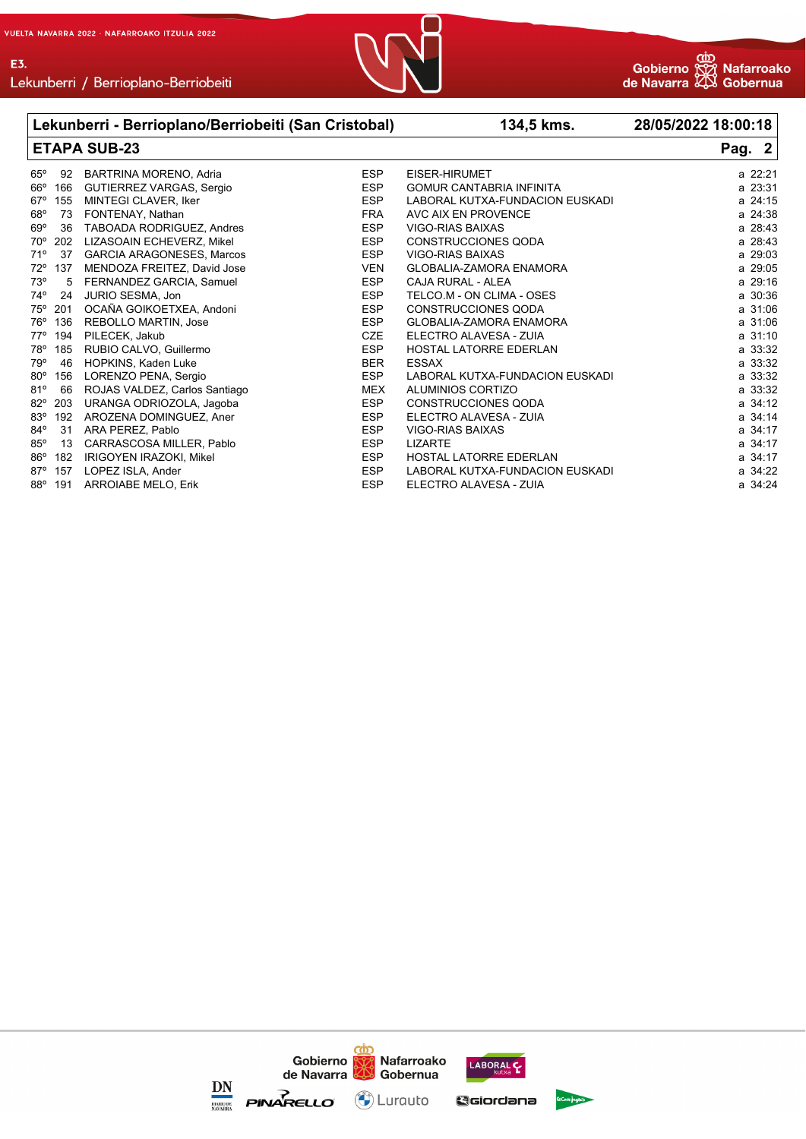E3.





|              |     | Lekunberri - Berrioplano/Berriobeiti (San Cristobal) |            | 134,5 kms.                      | 28/05/2022 18:00:18 |
|--------------|-----|------------------------------------------------------|------------|---------------------------------|---------------------|
|              |     | <b>ETAPA SUB-23</b>                                  |            |                                 | Pag. 2              |
| $65^{\circ}$ | 92  | BARTRINA MORENO, Adria                               | <b>ESP</b> | EISER-HIRUMET                   | a 22:21             |
| $66^{\circ}$ | 166 | GUTIERREZ VARGAS, Sergio                             | <b>ESP</b> | <b>GOMUR CANTABRIA INFINITA</b> | a 23:31             |
| $67^\circ$   | 155 | MINTEGI CLAVER, Iker                                 | <b>ESP</b> | LABORAL KUTXA-FUNDACION EUSKADI | a 24:15             |
| $68^{\circ}$ | 73  | FONTENAY, Nathan                                     | <b>FRA</b> | AVC AIX EN PROVENCE             | a 24:38             |
| $69^\circ$   | 36  | TABOADA RODRIGUEZ, Andres                            | <b>ESP</b> | VIGO-RIAS BAIXAS                | a 28:43             |
| $70^{\circ}$ | 202 | LIZASOAIN ECHEVERZ, Mikel                            | <b>ESP</b> | <b>CONSTRUCCIONES QODA</b>      | a 28:43             |
| 71°          | 37  | <b>GARCIA ARAGONESES, Marcos</b>                     | <b>ESP</b> | <b>VIGO-RIAS BAIXAS</b>         | a 29:03             |
| $72^{\circ}$ | 137 | MENDOZA FREITEZ, David Jose                          | <b>VEN</b> | <b>GLOBALIA-ZAMORA ENAMORA</b>  | a 29:05             |
| $73^\circ$   | 5   | FERNANDEZ GARCIA, Samuel                             | <b>ESP</b> | CAJA RURAL - ALEA               | a 29:16             |
| $74^\circ$   | 24  | JURIO SESMA, Jon                                     | <b>ESP</b> | TELCO.M - ON CLIMA - OSES       | a 30:36             |
| 75°          | 201 | OCAÑA GOIKOETXEA, Andoni                             | <b>ESP</b> | <b>CONSTRUCCIONES QODA</b>      | a 31:06             |
| 76°          | 136 | <b>REBOLLO MARTIN, Jose</b>                          | <b>ESP</b> | <b>GLOBALIA-ZAMORA ENAMORA</b>  | a 31:06             |
| $77^\circ$   | 194 | PILECEK, Jakub                                       | <b>CZE</b> | ELECTRO ALAVESA - ZUIA          | a 31:10             |
| 78°          | 185 | RUBIO CALVO, Guillermo                               | <b>ESP</b> | <b>HOSTAL LATORRE EDERLAN</b>   | a 33:32             |
| 79°          | 46  | HOPKINS, Kaden Luke                                  | <b>BER</b> | <b>ESSAX</b>                    | a 33:32             |
| $80^\circ$   | 156 | LORENZO PENA, Sergio                                 | <b>ESP</b> | LABORAL KUTXA-FUNDACION EUSKADI | a 33:32             |
| 81°          | 66  | ROJAS VALDEZ, Carlos Santiago                        | <b>MEX</b> | <b>ALUMINIOS CORTIZO</b>        | a 33:32             |
| $82^{\circ}$ | 203 | URANGA ODRIOZOLA, Jagoba                             | <b>ESP</b> | CONSTRUCCIONES QODA             | a 34:12             |
| $83^\circ$   | 192 | AROZENA DOMINGUEZ, Aner                              | <b>ESP</b> | ELECTRO ALAVESA - ZUIA          | a 34:14             |
| 84°          | 31  | ARA PEREZ, Pablo                                     | <b>ESP</b> | VIGO-RIAS BAIXAS                | a 34:17             |
| $85^\circ$   | 13  | CARRASCOSA MILLER, Pablo                             | <b>ESP</b> | <b>LIZARTE</b>                  | a 34:17             |
| 86°          | 182 | IRIGOYEN IRAZOKI, Mikel                              | <b>ESP</b> | <b>HOSTAL LATORRE EDERLAN</b>   | a 34:17             |
| $87^\circ$   | 157 | LOPEZ ISLA, Ander                                    | <b>ESP</b> | LABORAL KUTXA-FUNDACION EUSKADI | a 34:22             |
| $88^\circ$   | 191 | <b>ARROIABE MELO, Erik</b>                           | <b>ESP</b> | ELECTRO ALAVESA - ZUIA          | a 34:24             |

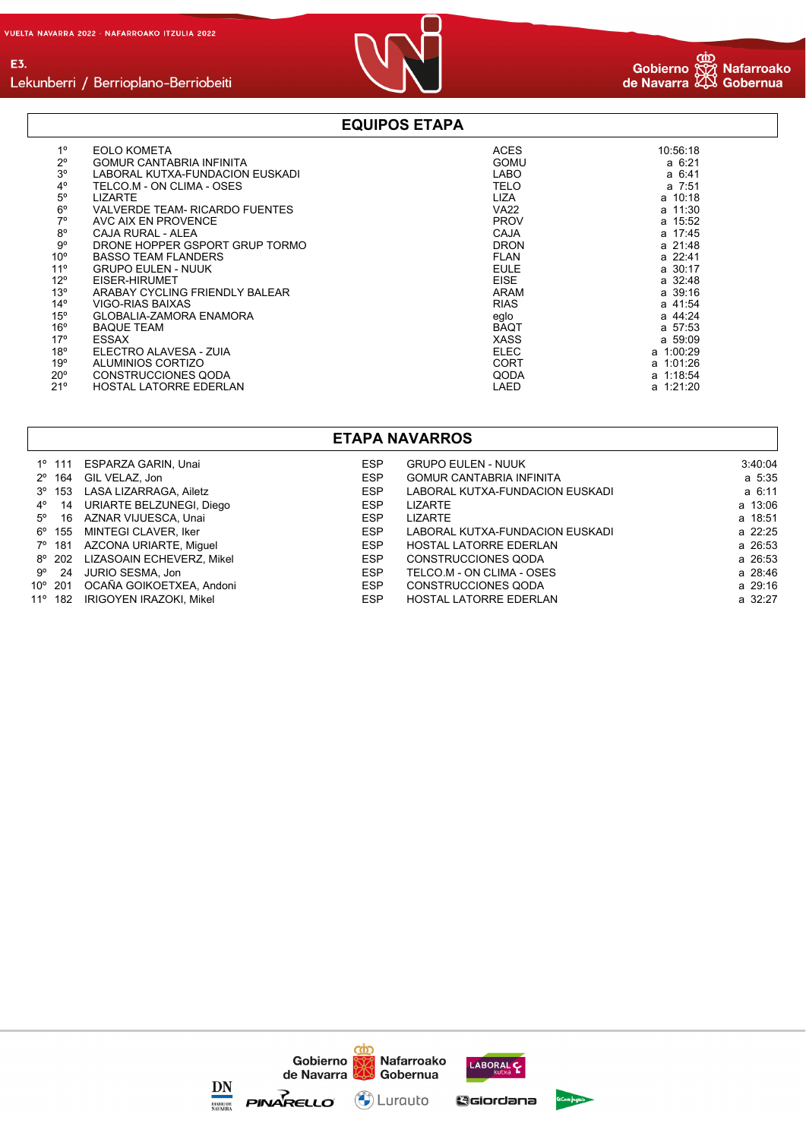

# Lekunberri / Berrioplano-Berriobeiti

#### **EQUIPOS ETAPA**

| $1^{\circ}$     | <b>EOLO KOMETA</b>                    | <b>ACES</b> | 10:56:18    |
|-----------------|---------------------------------------|-------------|-------------|
| $2^{\circ}$     | <b>GOMUR CANTABRIA INFINITA</b>       | <b>GOMU</b> | $a \t6:21$  |
| $3^{\circ}$     | LABORAL KUTXA-FUNDACION EUSKADI       | <b>LABO</b> | $a \t6:41$  |
| $4^{\circ}$     | TELCO.M - ON CLIMA - OSES             | <b>TELO</b> | a 7:51      |
| $5^{\circ}$     | <b>LIZARTE</b>                        | <b>LIZA</b> | a 10:18     |
|                 |                                       |             |             |
| $6^{\circ}$     | <b>VALVERDE TEAM- RICARDO FUENTES</b> | <b>VA22</b> | a 11:30     |
| $7^\circ$       | AVC AIX EN PROVENCE                   | <b>PROV</b> | a 15:52     |
| $8^{\circ}$     | CAJA RURAL - ALEA                     | CAJA        | a 17:45     |
| 9°              | DRONE HOPPER GSPORT GRUP TORMO        | <b>DRON</b> | a 21:48     |
| 10 <sup>o</sup> | <b>BASSO TEAM FLANDERS</b>            | <b>FLAN</b> | a 22:41     |
| 11 <sup>°</sup> | <b>GRUPO EULEN - NUUK</b>             | <b>EULE</b> | a 30:17     |
| $12^{\circ}$    | EISER-HIRUMET                         | <b>EISE</b> | a 32:48     |
| 13 <sup>°</sup> | ARABAY CYCLING FRIENDLY BALEAR        | ARAM        | a 39:16     |
| $14^{\circ}$    | VIGO-RIAS BAIXAS                      | <b>RIAS</b> | a 41:54     |
| $15^{\circ}$    | GLOBALIA-ZAMORA ENAMORA               | eglo        | a 44:24     |
| $16^{\circ}$    | <b>BAQUE TEAM</b>                     | <b>BAQT</b> | a 57:53     |
| $17^\circ$      | <b>ESSAX</b>                          | <b>XASS</b> | a 59:09     |
| 18°             | ELECTRO ALAVESA - ZUIA                | <b>ELEC</b> | $a$ 1:00:29 |
| 19°             | <b>ALUMINIOS CORTIZO</b>              | <b>CORT</b> | a 1:01:26   |
| $20^{\circ}$    | CONSTRUCCIONES QODA                   | QODA        | a 1:18:54   |
| 21°             | <b>HOSTAL LATORRE EDERLAN</b>         | LAED        | a 1:21:20   |

#### **ETAPA NAVARROS**

|                 | 1º 111 ESPARZA GARIN, Unai       | <b>ESP</b> | <b>GRUPO EULEN - NUUK</b>       | 3:40:04 |
|-----------------|----------------------------------|------------|---------------------------------|---------|
|                 | 2º 164 GIL VELAZ, Jon            | ESP        | <b>GOMUR CANTABRIA INFINITA</b> | a 5:35  |
| $3^{\circ}$ 153 | LASA LIZARRAGA. Ailetz           | ESP        | LABORAL KUTXA-FUNDACION EUSKADI | a 6:11  |
|                 | 4º 14 URIARTE BELZUNEGI, Diego   | <b>ESP</b> | LIZARTE                         | a 13:06 |
|                 | 5º 16 AZNAR VIJUESCA, Unai       | <b>ESP</b> | LIZARTE                         | a 18:51 |
|                 | 6º 155 MINTEGI CLAVER, Iker      | ESP        | LABORAL KUTXA-FUNDACION EUSKADI | a 22:25 |
|                 | 7º 181 AZCONA URIARTE, Miquel    | <b>ESP</b> | <b>HOSTAL LATORRE EDERLAN</b>   | a 26:53 |
|                 | 8º 202 LIZASOAIN ECHEVERZ, Mikel | <b>ESP</b> | CONSTRUCCIONES QODA             | a 26:53 |
| $9^{\circ}$ 24  | JURIO SESMA. Jon                 | <b>ESP</b> | TELCO.M - ON CLIMA - OSES       | a 28:46 |
|                 | 10° 201 OCAÑA GOIKOETXEA, Andoni | <b>ESP</b> | CONSTRUCCIONES QODA             | a 29:16 |
|                 | 11º 182 IRIGOYEN IRAZOKI. Mikel  | <b>ESP</b> | <b>HOSTAL LATORRE EDERLAN</b>   | a 32:27 |

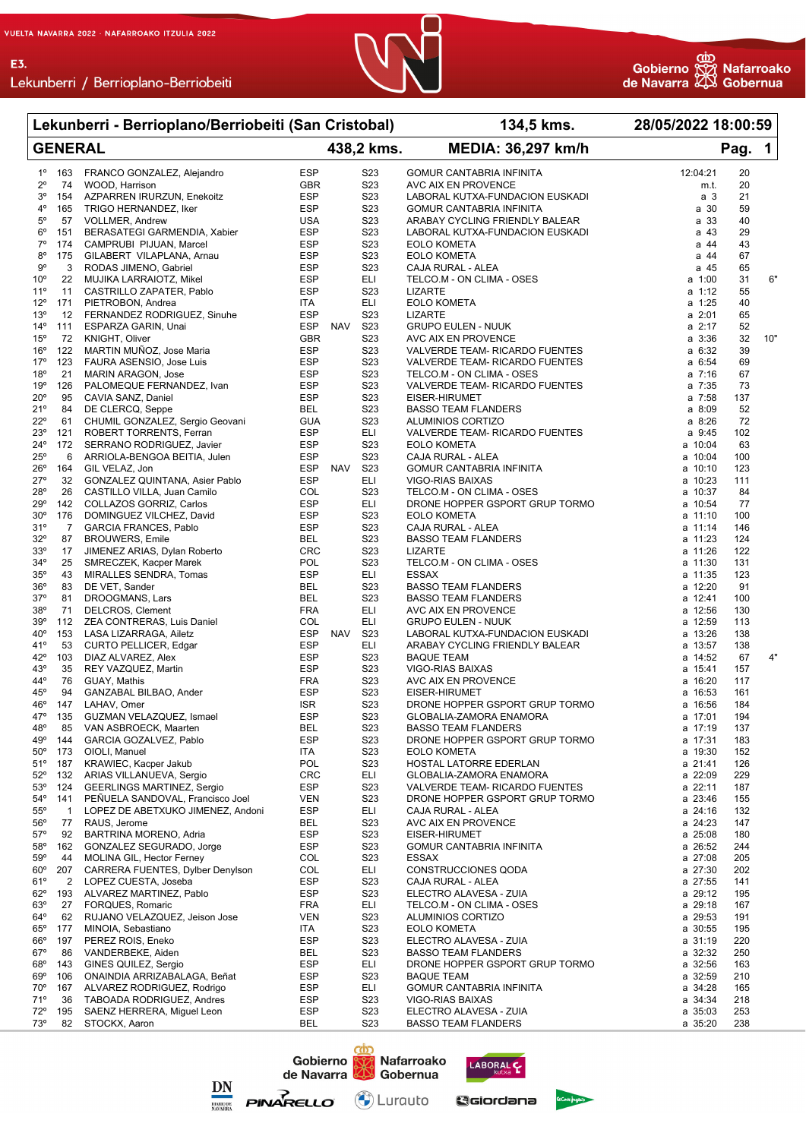E3.



**Lekunberri - Berrioplano/Berriobeiti (San Cristobal) 134,5 kms. 28/05/2022 18:00:59**

#### **GENERAL 438,2 kms. MEDIA: 36,297 km/h Pag. 1** 1º 163 FRANCO GONZALEZ, Alejandro ESP S23 GOMUR CANTABRIA INFINITA 12:04:21 20 AVC AIX EN PROVENCE m.t. 3º 154 AZPARREN IRURZUN, Enekoitz ESP S23 LABORAL KUTXA-FUNDACION EUSKADI a 3 21 4º 165 TRIGO HERNANDEZ, Iker ESP S23 GOMUR CANTABRIA INFINITA a 30 59 5º 57 VOLLMER, Andrew **Internal State Communist Communist SCAL SCALEAR** S23 ARABAY CYCLING FRIENDLY BALEAR<br>1990 151 BERASATEGI GARMENDIA. Xabier **1990 ESP S23 LABORAL KUTXA-FUNDACION EUSKA**I 6º 151 BERASATEGI GARMENDIA, Xabier ESP S23 LABORAL KUTXA-FUNDACION EUSKADI a 43 29 7º 174 CAMPRUBI PIJUAN, Marcel ESP S23 EOLO KOMETA a 44 43 8º 175 GILABERT VILAPLANA, Arnau ESP S23 EOLO KOMETA a 44 67 9º 3 RODAS JIMENO, Gabriel ESP S23 CAJA RURAL - ALEA a 45 65 10º 22 MUJIKA LARRAIOTZ, Mikel ESP ELI TELCO.M - ON CLIMA - OSES a 1:00 31 6" 11º 11 CASTRILLO ZAPATER, Pablo ESP S23 LIZARTE a 1:12 55 12º 171 PIETROBON, Andrea ITA ELI EOLO KOMETA a 1:25 40 13º 12 FERNANDEZ RODRIGUEZ, Sinuhe ESP S23 LIZARTE a 2:01 65 14º 111 ESPARZA GARIN, Unai ESP NAV S23 GRUPO EULEN - NUUK a 2:17 52 15º 72 KNIGHT, Oliver GBR S23 AVC AIX EN PROVENCE a 3:36 32 10" 16º 122 MARTIN MUÑOZ, Jose Maria ESP S23 VALVERDE TEAM- RICARDO FUENTES a 6:32 39 17º 123 FAURA ASENSIO, Jose Luis ESP S23 VALVERDE TEAM- RICARDO FUENTES a 6:54 69 18º 21 MARIN ARAGON, Jose ESP S23 TELCO.M - ON CLIMA - OSES a 7:16 67 19º 126 PALOMEQUE FERNANDEZ, Ivan ESP S23 VALVERDE TEAM- RICARDO FUENTES a 7:35 73 20º 95 CAVIA SANZ, Daniel ESP S23 EISER-HIRUMET a 7:58 137 21º 84 DE CLERCQ, Seppe 6 623 BASSO TEAM FLANDERS 8 8:09 523 BASSO TEAM FLANDERS 22º 61 CHUMIL GONZALEZ, Sergio Geovani GUA S23 ALUMINIOS CORTIZO a 8:26 72 23º 121 ROBERT TORRENTS, Ferran ESP ELI VALVERDE TEAM- RICARDO FUENTES a 9:45 102 24º 172 SERRANO RODRIGUEZ, Javier ESP S23 EOLO KOMETA a 10:04 63 25º 6 ARRIOLA-BENGOA BEITIA, Julen ESP S23 CAJA RURAL - ALEA a 10:04 100 26º 164 GIL VELAZ, Jon ESP NAV S23 GOMUR CANTABRIA INFINITA a 10:10 123 27º 32 GONZALEZ QUINTANA, Asier Pablo ESP ELI VIGO-RIAS BAIXAS a 10:23 111 28º 26 CASTILLO VILLA, Juan Camilo COL S23 TELCO.M - ON CLIMA - OSES a 10:37 84 29º 142 COLLAZOS GORRIZ, Carlos ESP ELI DRONE HOPPER GSPORT GRUP TORMO a 10:54 77 30º 176 DOMINGUEZ VILCHEZ, David ESP S23 EOLO KOMETA a 11:10 100 31º 7 GARCIA FRANCES, Pablo ESP S23 CAJA RURAL - ALEA a 11:14 146 BASSO TEAM FLANDERS and said  $\overline{a}$ 33º 17 JIMENEZ ARIAS, Dylan Roberto CRC S23 LIZARTE a 11:26 122 34º 25 SMRECZEK, Kacper Marek POL S23 TELCO.M - ON CLIMA - OSES a 11:30 131 35º 43 MIRALLES SENDRA, Tomas ESP ELI ESSAX a 11:35 123 36º 83 DE VET, Sander BEL S23 BASSO TEAM FLANDERS a 12:20 91 37º 81 DROOGMANS, Lars BEL S23 BASSO TEAM FLANDERS a 12:41 100 38º 71 DELCROS, Clement The Second of the FRA FLI AVC AIX EN PROVENCE The Second of the 12:56 130 39º 112 ZEA CONTRERAS, Luis Daniel COL ELI GRUPO EULEN - NUUK a 12:59 113 40º 153 LASA LIZARRAGA, Ailetz ESP NAV S23 LABORAL KUTXA-FUNDACION EUSKADI a 13:26 138 41º 53 CURTO PELLICER, Edgar ESP ELI ARABAY CYCLING FRIENDLY BALEAR a 13:57 138 42º 103 DIAZ ALVAREZ, Alex ESP S23 BAQUE TEAM a 14:52 67 4" 43º 35 REY VAZQUEZ, Martin ESP S23 VIGO-RIAS BAIXAS a 15:41 157 44º 76 GUAY, Mathis FRA S23 AVC AIX EN PROVENCE a 16:20 117 45º 94 GANZABAL BILBAO, Ander ESP S23 EISER-HIRUMET a 16:53 161 46º 147 LAHAV, Omer ISR S23 DRONE HOPPER GSPORT GRUP TORMO a 16:56 184 47º 135 GUZMAN VELAZQUEZ, Ismael ESP S23 GLOBALIA-ZAMORA ENAMORA a 17:01 194 48º 85 VAN ASBROECK, Maarten BEL S23 BASSO TEAM FLANDERS a 17:19 137 144 GARCIA GOZALVEZ, Pablo ESP S23 DRONE HOPPER GSPORT GRUP TORMO a 17:31 183 50º 173 OIOLI, Manuel ITA S23 EOLO KOMETA a 19:30 152 51º 187 KRAWIEC, Kacper Jakub POL S23 HOSTAL LATORRE EDERLAN a 21:41 126 GLOBALIA-ZAMORA ENAMORA 53º 124 GEERLINGS MARTINEZ, Sergio ESP S23 VALVERDE TEAM- RICARDO FUENTES a 22:11 187 54º 141 PEÑUELA SANDOVAL, Francisco Joel VEN S23 DRONE HOPPER GSPORT GRUP TORMO a 23:46 155<br>55º 1 LOPEZ DE ABETXUKO UMENEZ Andoni ESP FIL CAJA RURAL - ALEA 55º 1 LOPEZ DE ABETXUKO JIMENEZ, Andoni ESP ELI CAJA RURAL - ALEA a 24:16 132 56º 77 RAUS, Jerome BEL S23 AVC AIX EN PROVENCE a 24:23 147 57º 92 BARTRINA MORENO, Adria ESP S23 EISER-HIRUMET a 25:08 180 58º 162 GONZALEZ SEGURADO, Jorge ESP S23 GOMUR CANTABRIA INFINITA a 26:52 244 59º 44 MOLINA GIL, Hector Ferney COL S23 ESSAX a 27:08 205 60º 207 CARRERA FUENTES, Dylber Denylson<br>61º 2 LOPEZ CUESTA, Joseba 61º 2 LOPEZ CUESTA, Joseba ESP S23 CAJA RURAL - ALEA a 27:55 141 62º 193 ALVAREZ MARTINEZ, Pablo ESP S23 ELECTRO ALAVESA - ZUIA a 29:12 195 63º 27 FORQUES, Romaric FRA ELI TELCO.M - ON CLIMA - OSES a 29:18 167 64º 62 RUJANO VELAZQUEZ, Jeison Jose VEN S23 ALUMINIOS CORTIZO a 29:53 191 65º 177 MINOIA, Sebastiano ITA S23 EOLO KOMETA a 30:55 195 66º 197 PEREZ ROIS, Eneko ESP S23 ELECTRO ALAVESA - ZUIA a 31:19 220 67º 86 VANDERBEKE, Aiden BEL S23 BASSO TEAM FLANDERS a 32:32 250 68º 143 GINES QUILEZ, Sergio ESP ELI DRONE HOPPER GSPORT GRUP TORMO a 32:56 163 69º 106 ONAINDIA ARRIZABALAGA, Beñat ESP S23 BAQUE TEAM a 32:59 210 70º 167 ALVAREZ RODRIGUEZ, Rodrigo ESP ELI GOMUR CANTABRIA INFINITA a 34:28 165 71º 36 TABOADA RODRIGUEZ, Andres ESP S23 VIGO-RIAS BAIXAS a 34:34 218 72º 195 SAENZ HERRERA, Miguel Leon ESP S23 ELECTRO ALAVESA - ZUIA a 35:03 253





(۳) Lurauto

73º 82 STOCKX, Aaron BEL S23 BASSO TEAM FLANDERS a 35:20 238



GGiordana

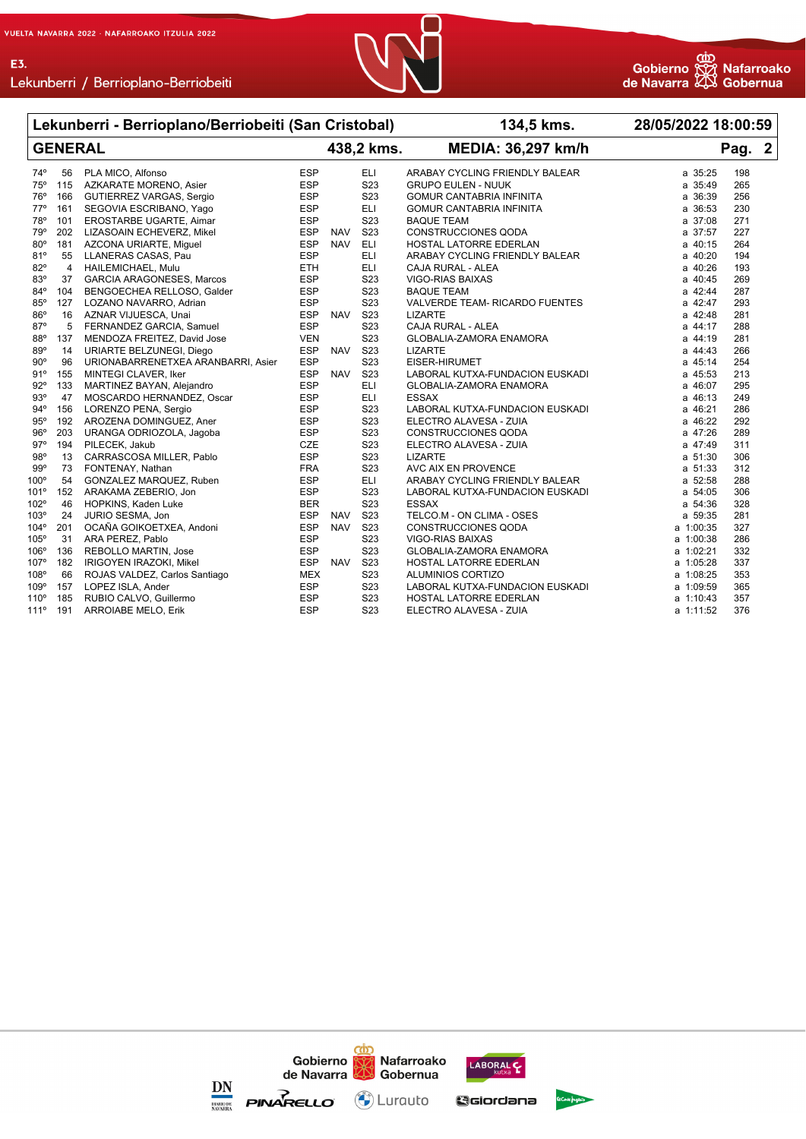

## Lekunberri / Berrioplano-Berriobeiti

|             |                | Lekunberri - Berrioplano/Berriobeiti (San Cristobal) |            |            |                  | 134,5 kms.                      | 28/05/2022 18:00:59 |        |  |
|-------------|----------------|------------------------------------------------------|------------|------------|------------------|---------------------------------|---------------------|--------|--|
|             |                | <b>GENERAL</b>                                       |            |            | 438,2 kms.       | <b>MEDIA: 36,297 km/h</b>       |                     | Pag. 2 |  |
| 74°         | 56             | PLA MICO, Alfonso                                    | <b>ESP</b> |            | <b>ELI</b>       | ARABAY CYCLING FRIENDLY BALEAR  | a 35:25             | 198    |  |
| 75°         | 115            | AZKARATE MORENO, Asier                               | <b>ESP</b> |            | S <sub>23</sub>  | <b>GRUPO EULEN - NUUK</b>       | a 35:49             | 265    |  |
| 76°         | 166            | GUTIERREZ VARGAS, Sergio                             | <b>ESP</b> |            | S <sub>23</sub>  | <b>GOMUR CANTABRIA INFINITA</b> | a 36:39             | 256    |  |
| $77^\circ$  | 161            | SEGOVIA ESCRIBANO, Yago                              | <b>ESP</b> |            | ELI              | <b>GOMUR CANTABRIA INFINITA</b> | a 36:53             | 230    |  |
| 78°         | 101            | EROSTARBE UGARTE, Aimar                              | <b>ESP</b> |            | S <sub>23</sub>  | <b>BAQUE TEAM</b>               | a 37:08             | 271    |  |
| 79°         | 202            | LIZASOAIN ECHEVERZ, Mikel                            | <b>ESP</b> | <b>NAV</b> | S <sub>23</sub>  | <b>CONSTRUCCIONES QODA</b>      | a 37:57             | 227    |  |
| $80^\circ$  | 181            | AZCONA URIARTE, Miguel                               | <b>ESP</b> | <b>NAV</b> | <b>ELI</b>       | HOSTAL LATORRE EDERLAN          | a 40:15             | 264    |  |
| 81°         | 55             | LLANERAS CASAS, Pau                                  | <b>ESP</b> |            | ELI              | ARABAY CYCLING FRIENDLY BALEAR  | a 40:20             | 194    |  |
| 82°         | $\overline{4}$ | HAILEMICHAEL, Mulu                                   | <b>ETH</b> |            | <b>ELI</b>       | CAJA RURAL - ALEA               | a 40:26             | 193    |  |
| 83°         | 37             | <b>GARCIA ARAGONESES, Marcos</b>                     | <b>ESP</b> |            | S23              | VIGO-RIAS BAIXAS                | a 40:45             | 269    |  |
| 84°         | 104            | BENGOECHEA RELLOSO, Galder                           | <b>ESP</b> |            | S23              | <b>BAQUE TEAM</b>               | a 42:44             | 287    |  |
| 85°         | 127            | LOZANO NAVARRO, Adrian                               | <b>ESP</b> |            | S <sub>23</sub>  | VALVERDE TEAM- RICARDO FUENTES  | a 42:47             | 293    |  |
| 86°         | 16             | AZNAR VIJUESCA, Unai                                 | <b>ESP</b> | <b>NAV</b> | S23              | <b>LIZARTE</b>                  | a 42:48             | 281    |  |
| 87°         | 5              | FERNANDEZ GARCIA, Samuel                             | <b>ESP</b> |            | S <sub>23</sub>  | CAJA RURAL - ALEA               | a 44:17             | 288    |  |
| 88°         | 137            | MENDOZA FREITEZ, David Jose                          | <b>VEN</b> |            | S <sub>23</sub>  | <b>GLOBALIA-ZAMORA ENAMORA</b>  | a 44:19             | 281    |  |
| 89°         | 14             | URIARTE BELZUNEGI, Diego                             | <b>ESP</b> | <b>NAV</b> | S <sub>23</sub>  | <b>LIZARTE</b>                  | a 44:43             | 266    |  |
| $90^\circ$  | 96             | URIONABARRENETXEA ARANBARRI, Asier                   | <b>ESP</b> |            | S <sub>2</sub> 3 | EISER-HIRUMET                   | a 45:14             | 254    |  |
| 91°         | 155            | MINTEGI CLAVER, Iker                                 | <b>ESP</b> | <b>NAV</b> | S <sub>2</sub> 3 | LABORAL KUTXA-FUNDACION EUSKADI | a 45:53             | 213    |  |
| 92°         | 133            | MARTINEZ BAYAN, Alejandro                            | <b>ESP</b> |            | <b>ELI</b>       | <b>GLOBALIA-ZAMORA ENAMORA</b>  | a 46:07             | 295    |  |
| 93°         | 47             | MOSCARDO HERNANDEZ, Oscar                            | <b>ESP</b> |            | <b>ELI</b>       | <b>ESSAX</b>                    | a 46:13             | 249    |  |
| 94°         | 156            | LORENZO PENA, Sergio                                 | <b>ESP</b> |            | S <sub>2</sub> 3 | LABORAL KUTXA-FUNDACION EUSKADI | a 46:21             | 286    |  |
| 95°         | 192            | AROZENA DOMINGUEZ, Aner                              | <b>ESP</b> |            | S <sub>23</sub>  | ELECTRO ALAVESA - ZUIA          | a 46:22             | 292    |  |
| 96°         | 203            | URANGA ODRIOZOLA, Jagoba                             | <b>ESP</b> |            | S <sub>23</sub>  | CONSTRUCCIONES QODA             | a 47:26             | 289    |  |
| 97°         | 194            | PILECEK, Jakub                                       | CZE        |            | S <sub>2</sub> 3 | ELECTRO ALAVESA - ZUIA          | a 47:49             | 311    |  |
| 98°         | 13             | CARRASCOSA MILLER, Pablo                             | <b>ESP</b> |            | S <sub>2</sub> 3 | <b>LIZARTE</b>                  | a 51:30             | 306    |  |
| 99°         | 73             | FONTENAY, Nathan                                     | <b>FRA</b> |            | S <sub>23</sub>  | AVC AIX EN PROVENCE             | a 51:33             | 312    |  |
| $100^\circ$ | 54             | GONZALEZ MARQUEZ, Ruben                              | <b>ESP</b> |            | <b>ELI</b>       | ARABAY CYCLING FRIENDLY BALEAR  | a 52:58             | 288    |  |
| 101°        | 152            | ARAKAMA ZEBERIO, Jon                                 | <b>ESP</b> |            | S23              | LABORAL KUTXA-FUNDACION EUSKADI | a 54:05             | 306    |  |
| 102°        | 46             | HOPKINS, Kaden Luke                                  | <b>BER</b> |            | S <sub>23</sub>  | <b>ESSAX</b>                    | a 54:36             | 328    |  |
| 103°        | 24             | JURIO SESMA, Jon                                     | <b>ESP</b> | <b>NAV</b> | S <sub>23</sub>  | TELCO.M - ON CLIMA - OSES       | a 59:35             | 281    |  |
| 104°        | 201            | OCAÑA GOIKOETXEA, Andoni                             | <b>ESP</b> | <b>NAV</b> | S <sub>2</sub> 3 | <b>CONSTRUCCIONES QODA</b>      | a 1:00:35           | 327    |  |
| 105°        | 31             | ARA PEREZ, Pablo                                     | <b>ESP</b> |            | S23              | VIGO-RIAS BAIXAS                | a 1:00:38           | 286    |  |
| 106°        | 136            | <b>REBOLLO MARTIN, Jose</b>                          | <b>ESP</b> |            | S <sub>2</sub> 3 | <b>GLOBALIA-ZAMORA ENAMORA</b>  | a 1:02:21           | 332    |  |
| $107^\circ$ | 182            | IRIGOYEN IRAZOKI, Mikel                              | <b>ESP</b> | <b>NAV</b> | S <sub>23</sub>  | HOSTAL LATORRE EDERLAN          | a 1:05:28           | 337    |  |
| 108°        | 66             | ROJAS VALDEZ, Carlos Santiago                        | MEX        |            | S23              | ALUMINIOS CORTIZO               | a 1:08:25           | 353    |  |
| 109°        | 157            | LOPEZ ISLA, Ander                                    | <b>ESP</b> |            | S <sub>23</sub>  | LABORAL KUTXA-FUNDACION EUSKADI | a 1:09:59           | 365    |  |
| 110°        | 185            | RUBIO CALVO, Guillermo                               | <b>ESP</b> |            | S <sub>23</sub>  | <b>HOSTAL LATORRE EDERLAN</b>   | a 1:10:43           | 357    |  |
| 111°        | 191            | <b>ARROIABE MELO, Erik</b>                           | <b>ESP</b> |            | S23              | ELECTRO ALAVESA - ZUIA          | a 1:11:52           | 376    |  |

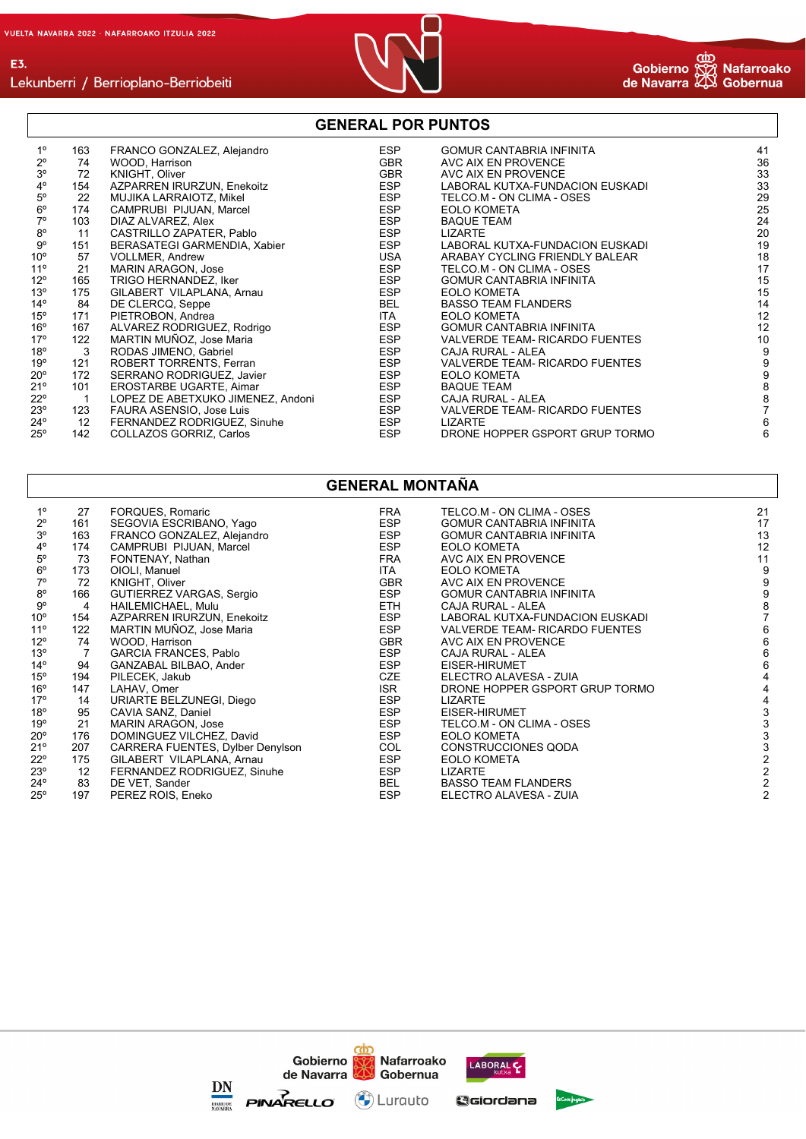



#### Lekunberri / Berrioplano-Berriobeiti

#### **GENERAL POR PUNTOS**

| $1^{\circ}$    | 163            | FRANCO GONZALEZ, Alejandro        | <b>ESP</b> | <b>GOMUR CANTABRIA INFINITA</b> | 41               |
|----------------|----------------|-----------------------------------|------------|---------------------------------|------------------|
| $2^{\circ}$    | 74             | WOOD, Harrison                    | <b>GBR</b> | AVC AIX EN PROVENCE             | 36               |
| 3 <sup>o</sup> | 72             | KNIGHT, Oliver                    | <b>GBR</b> | AVC AIX EN PROVENCE             | 33               |
| $4^{\circ}$    | 154            | AZPARREN IRURZUN, Enekoitz        | <b>ESP</b> | LABORAL KUTXA-FUNDACION EUSKADI | 33               |
| $5^{\circ}$    | 22             | MUJIKA LARRAIOTZ, Mikel           | <b>ESP</b> | TELCO.M - ON CLIMA - OSES       | 29               |
| $6^{\circ}$    | 174            | CAMPRUBI PIJUAN, Marcel           | <b>ESP</b> | <b>EOLO KOMETA</b>              | 25               |
| $7^\circ$      | 103            | DIAZ ALVAREZ, Alex                | <b>ESP</b> | <b>BAQUE TEAM</b>               | 24               |
| $8^{\circ}$    | 11             | CASTRILLO ZAPATER, Pablo          | <b>ESP</b> | LIZARTE                         | 20               |
| 9°             | 151            | BERASATEGI GARMENDIA, Xabier      | ESP        | LABORAL KUTXA-FUNDACION EUSKADI | 19               |
| $10^{\circ}$   | 57             | <b>VOLLMER, Andrew</b>            | USA        | ARABAY CYCLING FRIENDLY BALEAR  | 18               |
| $11^{\circ}$   | 21             | <b>MARIN ARAGON, Jose</b>         | ESP        | TELCO.M - ON CLIMA - OSES       | 17               |
| $12^{\circ}$   | 165            | TRIGO HERNANDEZ, Iker             | ESP        | <b>GOMUR CANTABRIA INFINITA</b> | 15               |
| $13^{\circ}$   | 175            | GILABERT VILAPLANA, Arnau         | <b>ESP</b> | <b>EOLO KOMETA</b>              | 15               |
| $14^{\circ}$   | 84             | DE CLERCQ, Seppe                  | BEL        | <b>BASSO TEAM FLANDERS</b>      | 14               |
| $15^{\circ}$   | 171            | PIETROBON, Andrea                 | <b>ITA</b> | <b>EOLO KOMETA</b>              | 12               |
| $16^{\circ}$   | 167            | ALVAREZ RODRIGUEZ, Rodrigo        | <b>ESP</b> | <b>GOMUR CANTABRIA INFINITA</b> | 12               |
| $17^{\circ}$   | 122            | MARTIN MUÑOZ, Jose Maria          | <b>ESP</b> | VALVERDE TEAM- RICARDO FUENTES  | 10               |
| 18°            | 3              | RODAS JIMENO, Gabriel             | <b>ESP</b> | CAJA RURAL - ALEA               | 9                |
| 19°            | 121            | ROBERT TORRENTS, Ferran           | ESP        | VALVERDE TEAM- RICARDO FUENTES  | 9                |
| $20^{\circ}$   | 172            | SERRANO RODRIGUEZ, Javier         | <b>ESP</b> | <b>EOLO KOMETA</b>              | $\boldsymbol{9}$ |
| 21°            | 101            | EROSTARBE UGARTE, Aimar           | <b>ESP</b> | <b>BAQUE TEAM</b>               | 8                |
| $22^{\circ}$   | $\overline{1}$ | LOPEZ DE ABETXUKO JIMENEZ, Andoni | <b>ESP</b> | CAJA RURAL - ALEA               | 8                |
| $23^\circ$     | 123            | FAURA ASENSIO, Jose Luis          | <b>ESP</b> | VALVERDE TEAM- RICARDO FUENTES  |                  |
| $24^{\circ}$   | 12             | FERNANDEZ RODRIGUEZ, Sinuhe       | ESP        | <b>LIZARTE</b>                  | 6                |
| $25^{\circ}$   | 142            | COLLAZOS GORRIZ, Carlos           | <b>ESP</b> | DRONE HOPPER GSPORT GRUP TORMO  | 6                |

## **GENERAL MONTAÑA**

| $1^{\circ}$  | 27  | <b>FORQUES, Romaric</b>          | FRA<br><b>ESP</b> | TELCO.M - ON CLIMA - OSES       | 21<br>17 |
|--------------|-----|----------------------------------|-------------------|---------------------------------|----------|
| $2^{\circ}$  | 161 | SEGOVIA ESCRIBANO, Yago          |                   | <b>GOMUR CANTABRIA INFINITA</b> |          |
| $3^{\circ}$  | 163 | FRANCO GONZALEZ, Alejandro       | ESP               | <b>GOMUR CANTABRIA INFINITA</b> | 13       |
| $4^{\circ}$  | 174 | CAMPRUBI PIJUAN, Marcel          | <b>ESP</b>        | <b>EOLO KOMETA</b>              | 12       |
| $5^{\circ}$  | 73  | FONTENAY, Nathan                 | FRA               | AVC AIX EN PROVENCE             | 11       |
| $6^{\circ}$  | 173 | OIOLI, Manuel                    | ITA               | <b>EOLO KOMETA</b>              | 9        |
| $7^\circ$    | 72  | KNIGHT, Oliver                   | <b>GBR</b>        | AVC AIX EN PROVENCE             |          |
| $8^{\circ}$  | 166 | GUTIERREZ VARGAS, Sergio         | ESP               | <b>GOMUR CANTABRIA INFINITA</b> |          |
| $9^{\circ}$  | 4   | HAILEMICHAEL, Mulu               | ETH               | CAJA RURAL - ALEA               |          |
| $10^{\circ}$ | 154 | AZPARREN IRURZUN, Enekoitz       | <b>ESP</b>        | LABORAL KUTXA-FUNDACION EUSKADI |          |
| $11^{\circ}$ | 122 | MARTIN MUÑOZ, Jose Maria         | <b>ESP</b>        | VALVERDE TEAM- RICARDO FUENTES  |          |
| $12^{\circ}$ | 74  | WOOD, Harrison                   | <b>GBR</b>        | AVC AIX EN PROVENCE             |          |
| 13°          | 7   | <b>GARCIA FRANCES, Pablo</b>     | <b>ESP</b>        | CAJA RURAL - ALEA               |          |
| $14^{\circ}$ | 94  | GANZABAL BILBAO, Ander           | ESP               | EISER-HIRUMET                   |          |
| $15^{\circ}$ | 194 | PILECEK, Jakub                   | CZE               | ELECTRO ALAVESA - ZUIA          |          |
| $16^{\circ}$ | 147 | LAHAV, Omer                      | <b>ISR</b>        | DRONE HOPPER GSPORT GRUP TORMO  |          |
| 17°          | 14  | URIARTE BELZUNEGI, Diego         | <b>ESP</b>        | LIZARTE                         |          |
| 18°          | 95  | CAVIA SANZ, Daniel               | <b>ESP</b>        | EISER-HIRUMET                   |          |
| 19°          | 21  | MARIN ARAGON, Jose               | <b>ESP</b>        | TELCO.M - ON CLIMA - OSES       |          |
| 20°          | 176 | DOMINGUEZ VILCHEZ, David         | ESP               | <b>EOLO KOMETA</b>              |          |
| 21°          | 207 | CARRERA FUENTES, Dylber Denylson | COL               | <b>CONSTRUCCIONES QODA</b>      |          |
| 22°          | 175 | GILABERT VILAPLANA, Arnau        | <b>ESP</b>        | <b>EOLO KOMETA</b>              |          |
| 23°          | 12  | FERNANDEZ RODRIGUEZ, Sinuhe      | ESP               | <b>LIZARTE</b>                  |          |
| 24°          | 83  | DE VET, Sander                   | BEL               | <b>BASSO TEAM FLANDERS</b>      |          |
| 25°          | 197 | PEREZ ROIS, Eneko                | <b>ESP</b>        | ELECTRO ALAVESA - ZUIA          |          |
|              |     |                                  |                   |                                 |          |

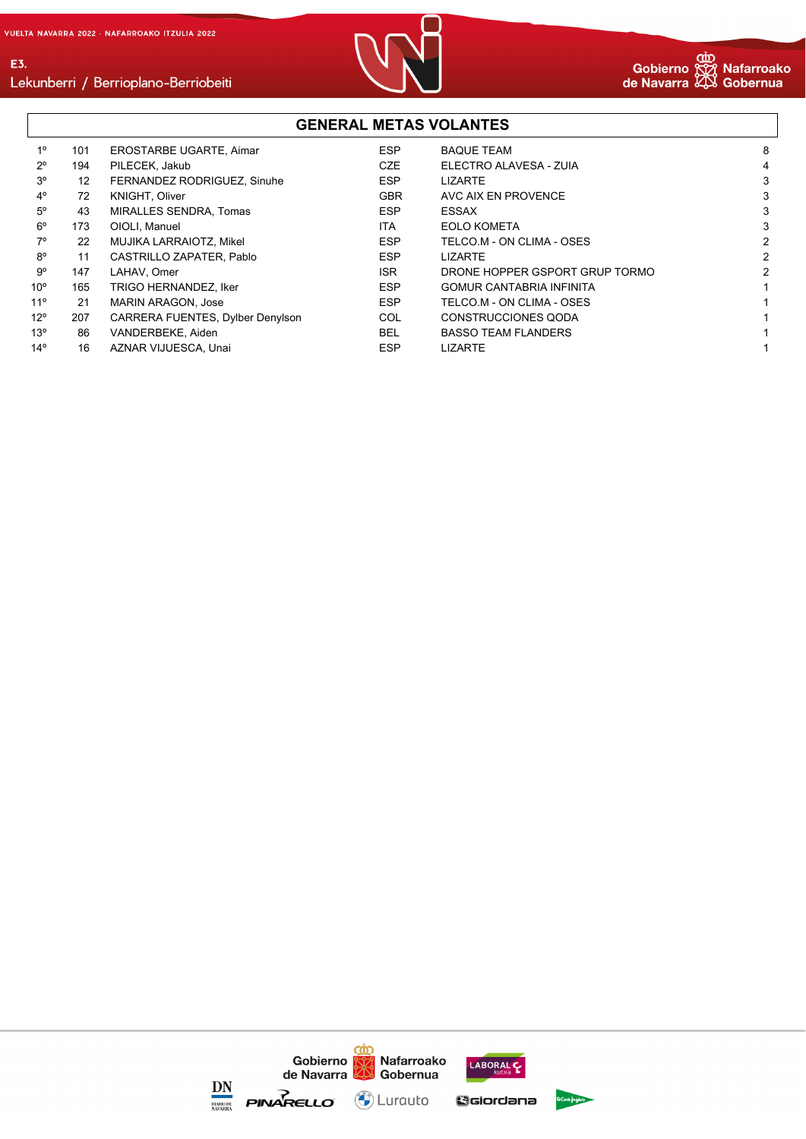E3.



#### **GENERAL METAS VOLANTES** 1º 101 EROSTARBE UGARTE, Aimar ESP BAQUE TEAM 8 2º 194 PILECEK, Jakub CZE ELECTRO ALAVESA - ZUIA 4 3º 12 FERNANDEZ RODRIGUEZ, Sinuhe ESP LIZARTE 3 4º 72 KNIGHT, Oliver GBR AVC AIX EN PROVENCE 3 5º 43 MIRALLES SENDRA, Tomas ESP ESSAX 3 6º 173 OIOLI, Manuel ITA EOLO KOMETA 3 7º 22 MUJIKA LARRAIOTZ, Mikel ESP TELCO.M - ON CLIMA - OSES 2 8º 11 CASTRILLO ZAPATER, Pablo **ESP** LIZARTE 9<sup>o</sup> 147 LAHAV, Omer **ISR** DRONE HOPPER GSPORT GRUP TORMO 2 10º 165 TRIGO HERNANDEZ, Iker en en earlieste ESP GOMUR CANTABRIA INFINITA 11º 21 MARIN ARAGON, Jose ESP TELCO.M - ON CLIMA - OSES 1 12º 207 CARRERA FUENTES, Dylber Denylson COL CONSTRUCCIONES QODA 1 13º 86 VANDERBEKE, Aiden 1988 1998 BEL BASSO TEAM FLANDERS 14º 16 AZNAR VIJUESCA, Unai ESP LIZARTE 1

#### cån Gobierno Nafarroako LABORAL de Navarra Gobernua DN **PINARELLO**  $\left(\bigodot\right)$  Lurauto GGiordana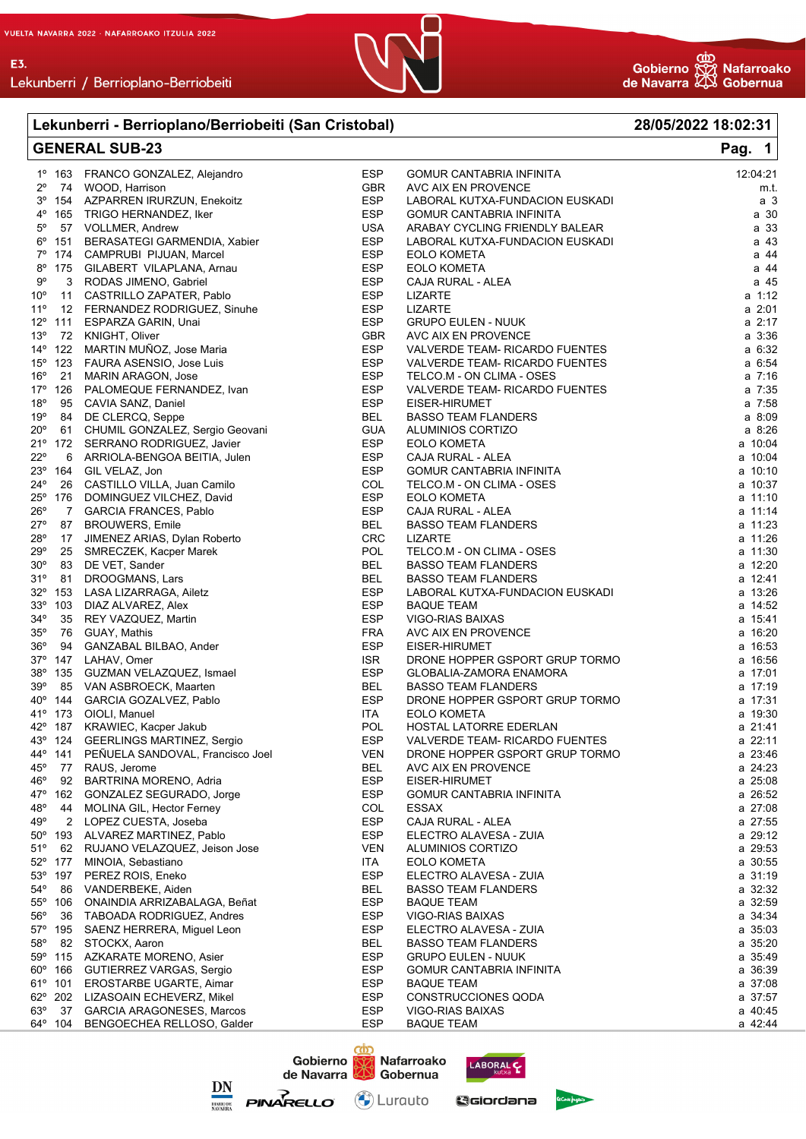

#### Lekunberri - Berrioplano/Berriobeiti (San Cristobal) 28/05/2022 18:02:31 Pag. **GENERAL SUB-23** 1  $1^{\circ}$  163 FRANCO GONZALEZ, Alejandro **FSP GOMUR CANTABRIA INFINITA**  $12.04.21$  $2^{\circ}$ GBR AVC AIX EN PROVENCE 74 WOOD, Harrison m.t.  $3<sup>o</sup>$ AZPARREN IRURZUN, Enekoitz **ESP** LABORAL KUTXA-FUNDACION EUSKADI 154  $a<sub>3</sub>$  $4^{\circ}$ ESP 165 TRIGO HERNANDEZ, Iker **GOMUR CANTABRIA INFINITA**  $a.30$  $5^{\circ}$ 57 VOLLMER, Andrew **USA** ARABAY CYCLING FRIENDLY BALEAR  $a<sub>33</sub>$  $6^{\rm o}$ 151 BERASATEGI GARMENDIA, Xabier **FSP** LABORAL KUTXA-FUNDACION EUSKADI  $a<sub>43</sub>$  $7^\circ$ a 44 CAMPRUBI PIJUAN, Marcel **ESP EOLO KOMETA** 174  $8^{\circ}$ GILABERT VILAPLANA, Arnau **ESP EOLO KOMETA** a 44 175  $9^{\circ}$ ESP  $a$  45  $\mathcal{R}$ RODAS JIMENO Gabriel CAJA RURAL - ALEA  $10<sup>o</sup>$  $11$ CASTRILLO ZAPATER, Pablo **ESP LIZARTE** a 1:12  $11<sup>°</sup>$ FFRNANDEZ RODRIGUEZ Sinuhe **FSP I IZARTE**  $a.201$  $12$  $12^{\circ}$  111 **GRUPO EULEN - NUUK**  $a \ 2:17$ ESPARZA GARIN, Unai **FSP** AVC AIX EN PROVENCE  $13^{o}$ KNIGHT, Oliver **GBR**  $a.336$ 72  $14^{\circ}$ 122 MARTIN MUÑOZ, Jose Maria **ESP** VALVERDE TEAM- RICARDO FUENTES  $a \t6:32$  $15^{\circ}$ **ESP** 123 FAURA ASENSIO, Jose Luis VALVERDE TEAM- RICARDO FUENTES a 6:54  $16°$ MARIN ARAGON, Jose **ESP** TELCO.M - ON CLIMA - OSES  $a \ 7:16$  $21$  $17<sup>°</sup>$ 126 PALOMEQUE FERNANDEZ, Ivan ESP VALVERDE TEAM- RICARDO FUENTES  $a \ 7:35$  $18<sup>°</sup>$ **ESP** 95 CAVIA SANZ, Daniel FISER-HIRUMET  $a \t7.58$  $19°$ DE CLERCQ, Seppe **BEL BASSO TEAM FLANDERS** a 8:09 84  $20^{\circ}$ CHUMIL GONZALEZ, Sergio Geovani GUA ALUMINIOS CORTIZO  $a \cdot 8.26$ 61  $21^{\circ}$  172 SERRANO RODRIGUEZ, Javier **ESP EOLO KOMETA** a 10:04  $220$ ESP ARRIOLA-BENGOA BEITIA, Julen  $a \ 10.04$ **6** CAJA RURAL - ALEA  $23^{\circ}$ 164 GIL VELAZ, Jon ESP **GOMUR CANTABRIA INFINITA**  $a, 10.10$  $24^{\circ}$ CASTILLO VILLA, Juan Camilo COL TELCO.M - ON CLIMA - OSES  $a \ 10.37$ 26  $25^\circ$ DOMINGUEZ VILCHEZ, David ESP **EOLO KOMETA** a 11:10 176  $26^{\circ}$  $\overline{7}$ **GARCIA FRANCES, Pablo FSP** CAJA RURAL - ALEA  $a$  11:14  $27^\circ$ 87 **BROUWERS, Emile BEL BASSO TEAM FLANDERS** a 11:23  $28^{\circ}$ JIMENEZ ARIAS, Dylan Roberto CRC a 11:26 17 **LIZARTE**  $29^\circ$ 25 SMRECZEK, Kacper Marek POL TELCO.M - ON CLIMA - OSES  $a$  11:30  $30^{\circ}$ **BEL BASSO TEAM FLANDERS** 83 DE VET, Sander  $a$  12:20  $31°$ **BEL BASSO TEAM FLANDERS** 81 **DROOGMANS, Lars** a 12:41  $32^{\circ}$ 153 LASA LIZARRAGA, Ailetz ESP LABORAL KUTXA-FUNDACION EUSKADI  $a \ 13.26$  $33^{\circ}$ ESP  $a$  14:52 DIAZ AI VAREZ Alex 103 **BAQUE TEAM**  $34^{\circ}$  $35$ REY VAZQUEZ. Martin ESP **VIGO-RIAS BAIXAS**  $a$  15:41 35° 76 GUAY, Mathis **FRA** AVC AIX EN PROVENCE  $a, 16.20$  $36^\circ$ 94 **GANZABAL BILBAO, Ander** ESP EISER-HIRUMET  $a$  16:53  $37^\circ$ 147 LAHAV, Omer **ISR** DRONE HOPPER GSPORT GRUP TORMO a 16:56  $38^\circ$ 135 GUZMAN VELAZQUEZ, Ismael **FSP GLOBALIA-ZAMORA ENAMORA**  $a$  17:01  $39°$ VAN ASBROECK, Maarten **BASSO TEAM FLANDERS** 85 **BEL**  $a$  17:19  $40°$ GARCIA GOZALVEZ, Pablo DRONE HOPPER GSPORT GRUP TORMO  $144$ ESP  $a$  17:31 41° 173 OIOLI, Manuel **ITA EOLO KOMETA**  $a$  19:30  $42^{\circ}$ HOSTAL LATORRE EDERLAN 187 KRAWIEC, Kacper Jakub **POL** a 21:41  $43°$ **GEERLINGS MARTINEZ, Sergio FSP VALVERDE TEAM- RICARDO FUENTES**  $a.22 \cdot 11$ 124 44° PEÑUELA SANDOVAL, Francisco Joel **VEN** DRONE HOPPER GSPORT GRUP TORMO a 23:46 141 AVC AIX EN PROVENCE  $45°$ RAUS, Jerome **BEL**  $a \ 24:23$ 77  $46^{\rm o}$ 92 **BARTRINA MORENO, Adria FSP** EISER-HIRUMET  $a.25:08$ 47° **FSP GOMUR CANTABRIA INFINITA**  $a.26:52$ 162 GONZALEZ SEGURADO, Jorge 48° a 27:08 44 MOLINA GIL, Hector Ferney COL **ESSAX**  $49^\circ$ **FSP** CAJA RURAL - ALEA  $a.27:55$  $\mathcal{P}$ LOPEZ CUESTA, Joseba 50° 193 ALVAREZ MARTINEZ, Pablo ESP ELECTRO ALAVESA - ZUIA a 29:12  $51^{\circ}$ **VEN** a 29:53 62 RUJANO VELAZQUEZ, Jeison Jose ALUMINIOS CORTIZO 177 a 30:55  $52°$ MINOIA, Sebastiano **ITA EOLO KOMETA**  $53^\circ$ ESP 197 PEREZ ROIS, Eneko ELECTRO ALAVESA - ZUIA  $a \ 31:19$ 54° **R<sub>6</sub>** VANDERBEKE, Aiden **RFI BASSO TEAM FLANDERS**  $= 32.32$  $55°$ 106 ONAINDIA ARRIZABALAGA, Beñat **ESP BAQUE TEAM** a 32:59  $56^\circ$ ESP a 34:34 36 TAROADA RODRIGUEZ Andres VIGO-RIAS BAIXAS 57° 195 SAENZ HERRERA, Miguel Leon ESP ELECTRO ALAVESA - ZUIA a 35:03  $58^{\circ}$ **BFI**  $a.35.20$ 82 **BASSO TEAM FLANDERS** STOCKX. Aaron 59° ESP **GRUPO EULEN - NUUK** a 35:49 115 **AZKARATE MORENO, Asier**  $60^{\circ}$ ESP **GOMUR CANTABRIA INFINITA**  $a.36.39$ 166 **GUTIERREZ VARGAS, Sergio**  $61°$ **EROSTARBE UGARTE, Aimar ESP BAQUE TEAM** a 37:08 101 CONSTRUCCIONES QODA  $62^\circ$ 202 LIZASOAIN ECHEVERZ, Mikel **FSP**  $a \ 37:57$  $63^\circ$ 37 **GARCIA ARAGONESES, Marcos** ESP **VIGO-RIAS BAIXAS** a 40:45  $64^{\circ}$ BENGOECHEA RELLOSO, Galder **ESP BAQUE TEAM** 104 a 42:44





Gobierno

con

Nafarroako LABORAL C

GGiordana

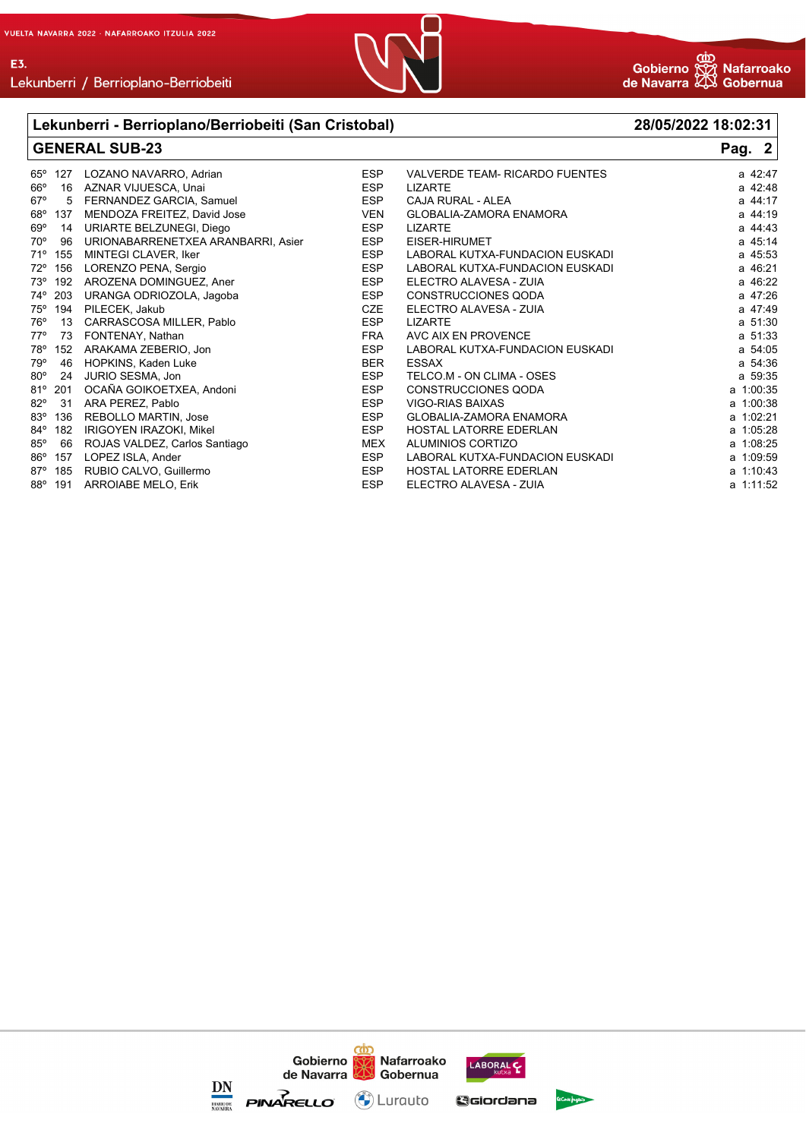

# Lekunberri / Berrioplano-Berriobeiti

|                     | Lekunberri - Berrioplano/Berriobeiti (San Cristobal) | 28/05/2022 18:02:31 |                                       |           |
|---------------------|------------------------------------------------------|---------------------|---------------------------------------|-----------|
|                     | <b>GENERAL SUB-23</b>                                | Pag. 2              |                                       |           |
| $65^\circ$<br>127   | LOZANO NAVARRO, Adrian                               | <b>ESP</b>          | <b>VALVERDE TEAM- RICARDO FUENTES</b> | a 42:47   |
| 66°<br>16           | AZNAR VIJUESCA, Unai                                 | <b>ESP</b>          | <b>LIZARTE</b>                        | a 42:48   |
| $67^\circ$<br>5     | FERNANDEZ GARCIA, Samuel                             | <b>ESP</b>          | CAJA RURAL - ALEA                     | a 44:17   |
| 68°<br>137          | MENDOZA FREITEZ, David Jose                          | <b>VEN</b>          | <b>GLOBALIA-ZAMORA ENAMORA</b>        | a 44:19   |
| $69^\circ$<br>14    | URIARTE BELZUNEGI, Diego                             | <b>ESP</b>          | <b>LIZARTE</b>                        | a 44:43   |
| $70^{\circ}$<br>96  | URIONABARRENETXEA ARANBARRI, Asier                   | <b>ESP</b>          | EISER-HIRUMET                         | a 45:14   |
| 71°<br>155          | MINTEGI CLAVER, Iker                                 | <b>ESP</b>          | LABORAL KUTXA-FUNDACION EUSKADI       | a 45:53   |
| $72^{\circ}$<br>156 | LORENZO PENA, Sergio                                 | <b>ESP</b>          | LABORAL KUTXA-FUNDACION EUSKADI       | a 46:21   |
| 73°<br>192          | AROZENA DOMINGUEZ, Aner                              | <b>ESP</b>          | ELECTRO ALAVESA - ZUIA                | a 46:22   |
| 74°<br>203          | URANGA ODRIOZOLA, Jagoba                             | <b>ESP</b>          | <b>CONSTRUCCIONES QODA</b>            | a 47:26   |
| 75°<br>194          | PILECEK, Jakub                                       | <b>CZE</b>          | ELECTRO ALAVESA - ZUIA                | a 47:49   |
| $76^\circ$<br>13    | CARRASCOSA MILLER, Pablo                             | <b>ESP</b>          | <b>LIZARTE</b>                        | a 51:30   |
| $77^\circ$<br>73    | FONTENAY, Nathan                                     | <b>FRA</b>          | AVC AIX EN PROVENCE                   | a 51:33   |
| 78°<br>152          | ARAKAMA ZEBERIO, Jon                                 | <b>ESP</b>          | LABORAL KUTXA-FUNDACION EUSKADI       | a 54:05   |
| 79°<br>46           | HOPKINS, Kaden Luke                                  | <b>BER</b>          | <b>ESSAX</b>                          | a 54:36   |
| $80^\circ$<br>24    | JURIO SESMA, Jon                                     | <b>ESP</b>          | TELCO.M - ON CLIMA - OSES             | a 59:35   |
| $81^{\circ}$ 201    | OCAÑA GOIKOETXEA, Andoni                             | <b>ESP</b>          | <b>CONSTRUCCIONES QODA</b>            | a 1:00:35 |
| $82^{\circ}$<br>31  | ARA PEREZ, Pablo                                     | <b>ESP</b>          | <b>VIGO-RIAS BAIXAS</b>               | a 1:00:38 |
| $83^\circ$<br>136   | <b>REBOLLO MARTIN, Jose</b>                          | <b>ESP</b>          | <b>GLOBALIA-ZAMORA ENAMORA</b>        | a 1:02:21 |
| 84°<br>182          | IRIGOYEN IRAZOKI, Mikel                              | <b>ESP</b>          | <b>HOSTAL LATORRE EDERLAN</b>         | a 1:05:28 |
| $85^\circ$<br>66    | ROJAS VALDEZ, Carlos Santiago                        | <b>MEX</b>          | ALUMINIOS CORTIZO                     | a 1:08:25 |
| $86^{\circ}$<br>157 | LOPEZ ISLA, Ander                                    | <b>ESP</b>          | LABORAL KUTXA-FUNDACION EUSKADI       | a 1:09:59 |
| $87^\circ$<br>185   | RUBIO CALVO, Guillermo                               | <b>ESP</b>          | <b>HOSTAL LATORRE EDERLAN</b>         | a 1:10:43 |
| $88^\circ$<br>191   | <b>ARROIABE MELO, Erik</b>                           | <b>ESP</b>          | ELECTRO ALAVESA - ZUIA                | a 1:11:52 |

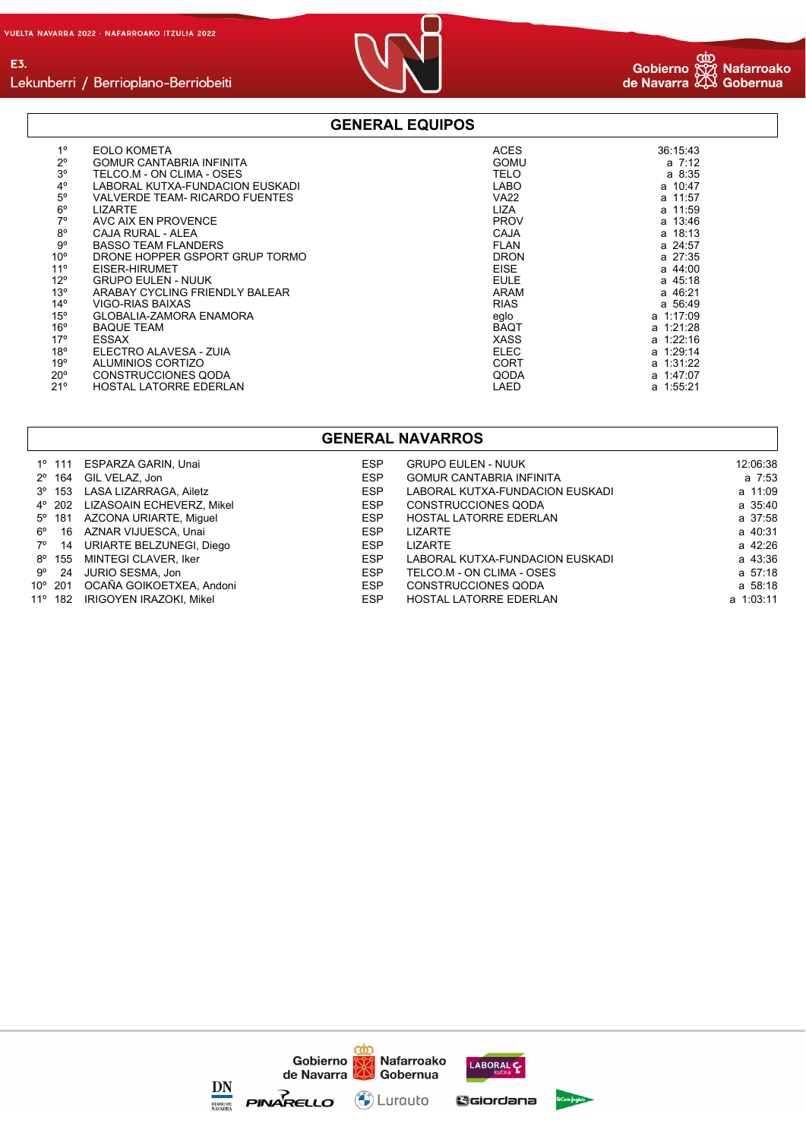E3.



#### **GENERAL EQUIPOS**

| 1 <sup>0</sup>  |                                       |             |            |
|-----------------|---------------------------------------|-------------|------------|
| $2^{\circ}$     | <b>EOLO KOMETA</b>                    | <b>ACES</b> | 36:15:43   |
|                 | <b>GOMUR CANTABRIA INFINITA</b>       | <b>GOMU</b> | $a \t7:12$ |
| 3 <sup>o</sup>  | TELCO.M - ON CLIMA - OSES             | <b>TELO</b> | a 8:35     |
| $4^{\circ}$     | LABORAL KUTXA-FUNDACION EUSKADI       | <b>LABO</b> | a 10:47    |
| 5 <sup>o</sup>  | <b>VALVERDE TEAM- RICARDO FUENTES</b> | <b>VA22</b> | a 11:57    |
| $6^{\circ}$     | <b>LIZARTE</b>                        | <b>LIZA</b> | a 11:59    |
| $7^\circ$       | AVC AIX EN PROVENCE                   | <b>PROV</b> | a 13:46    |
| $8^{\circ}$     | CAJA RURAL - ALEA                     | CAJA        | a 18:13    |
| $9^{\circ}$     | <b>BASSO TEAM FLANDERS</b>            | <b>FLAN</b> | a 24:57    |
| 10 <sup>o</sup> | DRONE HOPPER GSPORT GRUP TORMO        | <b>DRON</b> | a 27:35    |
| 11 <sup>°</sup> | EISER-HIRUMET                         | <b>EISE</b> | a 44:00    |
| $12^{\circ}$    | <b>GRUPO EULEN - NUUK</b>             | <b>EULE</b> | a 45:18    |
| 13 <sup>°</sup> | ARABAY CYCLING FRIENDLY BALEAR        | ARAM        | a 46:21    |
| $14^{\circ}$    | VIGO-RIAS BAIXAS                      | <b>RIAS</b> | a 56:49    |
| $15^{\circ}$    | <b>GLOBALIA-ZAMORA ENAMORA</b>        | eglo        | a 1:17:09  |
| 16 <sup>o</sup> | <b>BAQUE TEAM</b>                     | <b>BAQT</b> | a 1:21:28  |
| $17^{\circ}$    | <b>ESSAX</b>                          | <b>XASS</b> | a 1:22:16  |
| 18 <sup>o</sup> | FLECTRO ALAVESA - ZUIA                | <b>ELEC</b> | a 1:29:14  |
| 19°             | ALUMINIOS CORTIZO                     | <b>CORT</b> | a 1:31:22  |
| $20^{\circ}$    | <b>CONSTRUCCIONES QODA</b>            | QODA        | a 1:47:07  |
| 21°             | <b>HOSTAL LATORRE EDERLAN</b>         | LAED        | a 1:55:21  |

#### **GENERAL NAVARROS**

|             |                 | 1º 111 ESPARZA GARIN, Unai       | <b>ESP</b> | <b>GRUPO EULEN - NUUK</b>       | 12:06:38  |
|-------------|-----------------|----------------------------------|------------|---------------------------------|-----------|
|             |                 | 2º 164 GIL VELAZ, Jon            | <b>ESP</b> | <b>GOMUR CANTABRIA INFINITA</b> | a 7:53    |
|             |                 | 3º 153 LASA LIZARRAGA, Ailetz    | <b>ESP</b> | LABORAL KUTXA-FUNDACION EUSKADI | a 11:09   |
|             |                 | 4° 202 LIZASOAIN ECHEVERZ, Mikel | <b>ESP</b> | CONSTRUCCIONES QODA             | a 35:40   |
|             | $5^{\circ}$ 181 | AZCONA URIARTE, Miquel           | <b>ESP</b> | <b>HOSTAL LATORRE EDERLAN</b>   | a 37:58   |
| $6^{\circ}$ |                 | 16 AZNAR VIJUESCA, Unai          | <b>ESP</b> | LIZARTE                         | a 40:31   |
|             | 7° 14           | URIARTE BELZUNEGI, Diego         | <b>ESP</b> | <b>LIZARTE</b>                  | a 42:26   |
|             |                 | 8º 155 MINTEGI CLAVER, Iker      | <b>ESP</b> | LABORAL KUTXA-FUNDACION EUSKADI | a 43:36   |
|             | $9^{\circ}$ 24  | JURIO SESMA. Jon                 | <b>ESP</b> | TELCO.M - ON CLIMA - OSES       | a 57:18   |
|             |                 | 10° 201 OCAÑA GOIKOETXEA, Andoni | <b>ESP</b> | CONSTRUCCIONES QODA             | a 58:18   |
|             |                 | 11º 182 IRIGOYEN IRAZOKI. Mikel  | <b>ESP</b> | <b>HOSTAL LATORRE EDERLAN</b>   | a 1:03:11 |

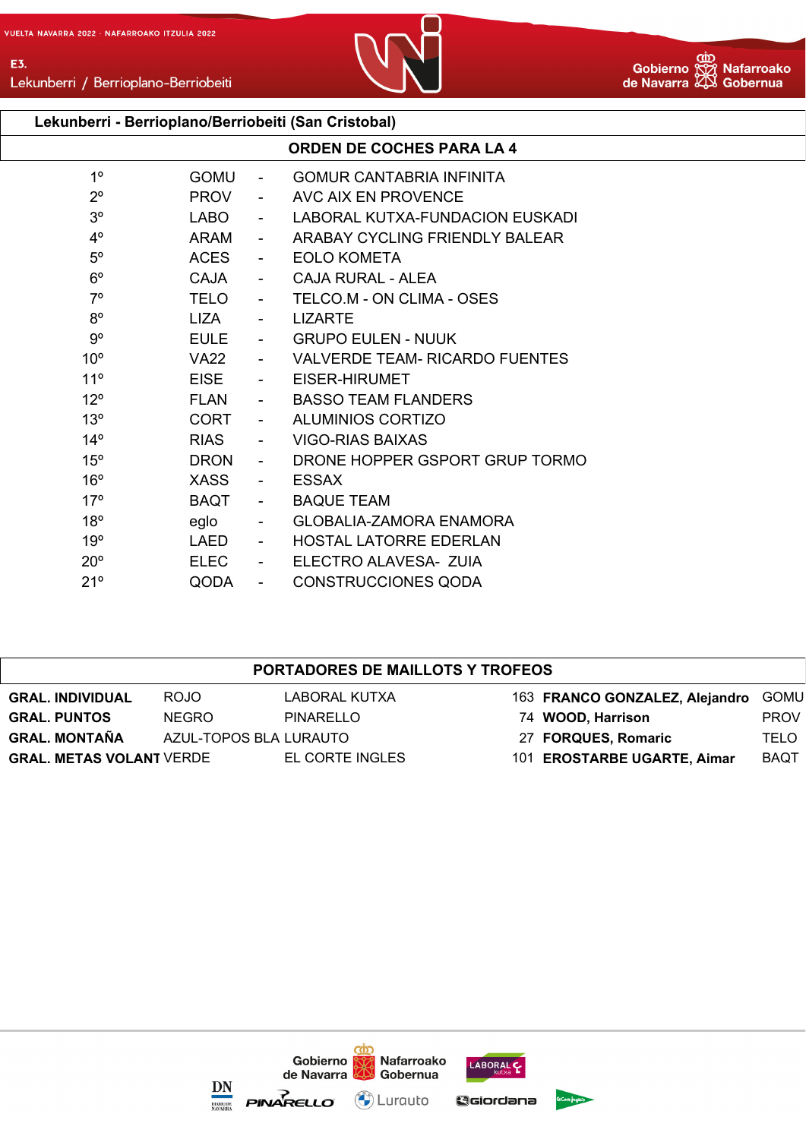

Lekunberri / Berrioplano-Berriobeiti

## **Lekunberri - Berrioplano/Berriobeiti (San Cristobal)**

|                 |             |                          | <b>ORDEN DE COCHES PARA LA 4</b> |
|-----------------|-------------|--------------------------|----------------------------------|
| 1 <sup>0</sup>  | <b>GOMU</b> | $\sim$                   | <b>GOMUR CANTABRIA INFINITA</b>  |
| $2^{\circ}$     | <b>PROV</b> | $\sim$                   | AVC AIX EN PROVENCE              |
| 3 <sup>o</sup>  | <b>LABO</b> | $\blacksquare$           | LABORAL KUTXA-FUNDACION EUSKADI  |
| $4^{\circ}$     | ARAM        | $\overline{\phantom{0}}$ | ARABAY CYCLING FRIENDLY BALEAR   |
| $5^{\circ}$     | <b>ACES</b> |                          | <b>EOLO KOMETA</b>               |
| $6^{\circ}$     | <b>CAJA</b> | $\blacksquare$           | CAJA RURAL - ALEA                |
| $7^\circ$       | <b>TELO</b> | $\sim$                   | TELCO.M - ON CLIMA - OSES        |
| $8^{\circ}$     | LIZA        |                          | <b>LIZARTE</b>                   |
| $9^{\circ}$     | <b>EULE</b> | $\sim$                   | <b>GRUPO EULEN - NUUK</b>        |
| 10 <sup>o</sup> | <b>VA22</b> |                          | VALVERDE TEAM- RICARDO FUENTES   |
| 11 <sup>°</sup> | <b>EISE</b> |                          | EISER-HIRUMET                    |
| $12^{\circ}$    | <b>FLAN</b> | $\sim$                   | <b>BASSO TEAM FLANDERS</b>       |
| 13 <sup>°</sup> | <b>CORT</b> |                          | <b>ALUMINIOS CORTIZO</b>         |
| $14^{\circ}$    | <b>RIAS</b> |                          | VIGO-RIAS BAIXAS                 |
| $15^{\circ}$    | <b>DRON</b> | $\overline{\phantom{0}}$ | DRONE HOPPER GSPORT GRUP TORMO   |
| $16^{\circ}$    | <b>XASS</b> | $\blacksquare$           | <b>ESSAX</b>                     |
| 17 <sup>°</sup> | <b>BAQT</b> | $\blacksquare$           | <b>BAQUE TEAM</b>                |
| $18^{\circ}$    | eglo        |                          | <b>GLOBALIA-ZAMORA ENAMORA</b>   |
| 19°             | LAED        | $\sim$                   | <b>HOSTAL LATORRE EDERLAN</b>    |
| $20^{\circ}$    | <b>ELEC</b> | $\overline{\phantom{0}}$ | ELECTRO ALAVESA- ZUIA            |
| 21°             | QODA        | $\blacksquare$           | <b>CONSTRUCCIONES QODA</b>       |

#### **PORTADORES DE MAILLOTS Y TROFEOS**

| <b>GRAL. INDIVIDUAL</b>         | ROJO                   | LABORAL KUTXA   | 163 FRANCO GONZALEZ, Alejandro | GOMU        |
|---------------------------------|------------------------|-----------------|--------------------------------|-------------|
| <b>GRAL. PUNTOS</b>             | NEGRO.                 | PINARELLO       | 74 WOOD, Harrison              | <b>PROV</b> |
| <b>GRAL. MONTAÑA</b>            | AZUL-TOPOS BLA LURAUTO |                 | 27 FORQUES, Romaric            | TELO I      |
| <b>GRAL. METAS VOLANT VERDE</b> |                        | EL CORTE INGLES | 101 EROSTARBE UGARTE, Aimar    | <b>BAQT</b> |